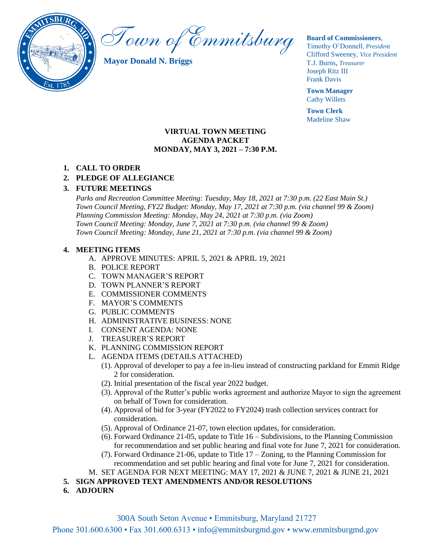

Town of Emmitsburg

**Mayor Donald N. Briggs**

#### **Board of Commissioners**,

Timothy O'Donnell*, President*  Clifford Sweeney, *Vice President* T.J. Burns, *Treasurer*  Joseph Ritz III Frank Davis

**Town Manager** Cathy Willets

**Town Clerk** Madeline Shaw

### **VIRTUAL TOWN MEETING AGENDA PACKET MONDAY, MAY 3, 2021 – 7:30 P.M.**

# **1. CALL TO ORDER**

# **2. PLEDGE OF ALLEGIANCE**

## **3. FUTURE MEETINGS**

*Parks and Recreation Committee Meeting: Tuesday, May 18, 2021 at 7:30 p.m. (22 East Main St.) Town Council Meeting, FY22 Budget: Monday, May 17, 2021 at 7:30 p.m. (via channel 99 & Zoom) Planning Commission Meeting: Monday, May 24, 2021 at 7:30 p.m. (via Zoom) Town Council Meeting: Monday, June 7, 2021 at 7:30 p.m. (via channel 99 & Zoom) Town Council Meeting: Monday, June 21, 2021 at 7:30 p.m. (via channel 99 & Zoom)*

### **4. MEETING ITEMS**

- A. APPROVE MINUTES: APRIL 5, 2021 & APRIL 19, 2021
- B. POLICE REPORT
- C. TOWN MANAGER'S REPORT
- D. TOWN PLANNER'S REPORT
- E. COMMISSIONER COMMENTS
- F. MAYOR'S COMMENTS
- G. PUBLIC COMMENTS
- H. ADMINISTRATIVE BUSINESS: NONE
- I. CONSENT AGENDA: NONE
- J. TREASURER'S REPORT
- K. PLANNING COMMISSION REPORT
- L. AGENDA ITEMS (DETAILS ATTACHED)
	- (1). Approval of developer to pay a fee in-lieu instead of constructing parkland for Emmit Ridge 2 for consideration.
	- (2). Initial presentation of the fiscal year 2022 budget.
	- (3). Approval of the Rutter's public works agreement and authorize Mayor to sign the agreement on behalf of Town for consideration.
	- (4). Approval of bid for 3-year (FY2022 to FY2024) trash collection services contract for consideration.
	- (5). Approval of Ordinance 21-07, town election updates, for consideration.
	- (6). Forward Ordinance 21-05, update to Title 16 Subdivisions, to the Planning Commission for recommendation and set public hearing and final vote for June 7, 2021 for consideration.
	- (7). Forward Ordinance 21-06, update to Title 17 Zoning, to the Planning Commission for recommendation and set public hearing and final vote for June 7, 2021 for consideration.

M. SET AGENDA FOR NEXT MEETING: MAY 17, 2021 & JUNE 7, 2021 & JUNE 21, 2021

- **5. SIGN APPROVED TEXT AMENDMENTS AND/OR RESOLUTIONS**
- **6. ADJOURN**

Phone 301.600.6300 • Fax 301.600.6313 • [info@emmitsburgmd.gov](mailto:info@emmitsburgmd.gov) • [www.emmitsburgmd.gov](http://www.emmitsburgmd.gov/)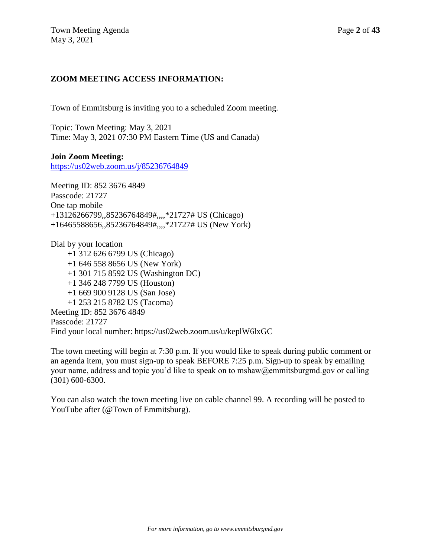# **ZOOM MEETING ACCESS INFORMATION:**

Town of Emmitsburg is inviting you to a scheduled Zoom meeting.

Topic: Town Meeting: May 3, 2021 Time: May 3, 2021 07:30 PM Eastern Time (US and Canada)

## **Join Zoom Meeting:**

<https://us02web.zoom.us/j/85236764849>

Meeting ID: 852 3676 4849 Passcode: 21727 One tap mobile +13126266799,,85236764849#,,,,\*21727# US (Chicago) +16465588656,,85236764849#,,,,\*21727# US (New York)

Dial by your location +1 312 626 6799 US (Chicago) +1 646 558 8656 US (New York) +1 301 715 8592 US (Washington DC) +1 346 248 7799 US (Houston) +1 669 900 9128 US (San Jose) +1 253 215 8782 US (Tacoma) Meeting ID: 852 3676 4849 Passcode: 21727 Find your local number: https://us02web.zoom.us/u/keplW6lxGC

The town meeting will begin at 7:30 p.m. If you would like to speak during public comment or an agenda item, you must sign-up to speak BEFORE 7:25 p.m. Sign-up to speak by emailing your name, address and topic you'd like to speak on to mshaw@emmitsburgmd.gov or calling (301) 600-6300.

You can also watch the town meeting live on cable channel 99. A recording will be posted to YouTube after (@Town of Emmitsburg).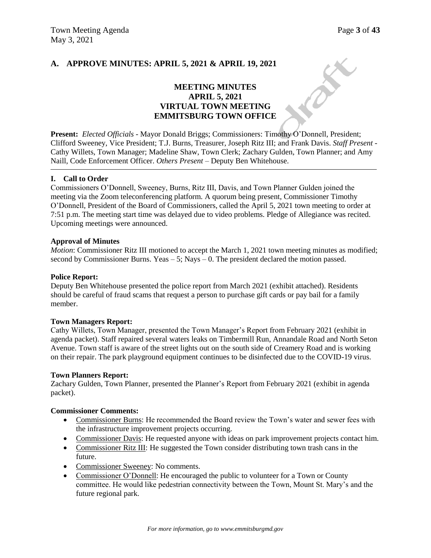ax

# **A. APPROVE MINUTES: APRIL 5, 2021 & APRIL 19, 2021**

# **MEETING MINUTES APRIL 5, 2021 VIRTUAL TOWN MEETING EMMITSBURG TOWN OFFICE**

**Present:** *Elected Officials* - Mayor Donald Briggs; Commissioners: Timothy O'Donnell, President; Clifford Sweeney, Vice President; T.J. Burns, Treasurer, Joseph Ritz III; and Frank Davis. *Staff Present* - Cathy Willets, Town Manager; Madeline Shaw, Town Clerk; Zachary Gulden, Town Planner; and Amy Naill, Code Enforcement Officer. *Others Present* – Deputy Ben Whitehouse.

### **I. Call to Order**

Commissioners O'Donnell, Sweeney, Burns, Ritz III, Davis, and Town Planner Gulden joined the meeting via the Zoom teleconferencing platform. A quorum being present, Commissioner Timothy O'Donnell, President of the Board of Commissioners, called the April 5, 2021 town meeting to order at 7:51 p.m. The meeting start time was delayed due to video problems. Pledge of Allegiance was recited. Upcoming meetings were announced.

### **Approval of Minutes**

*Motion*: Commissioner Ritz III motioned to accept the March 1, 2021 town meeting minutes as modified; second by Commissioner Burns. Yeas – 5; Nays – 0. The president declared the motion passed.

#### **Police Report:**

Deputy Ben Whitehouse presented the police report from March 2021 (exhibit attached). Residents should be careful of fraud scams that request a person to purchase gift cards or pay bail for a family member.

### **Town Managers Report:**

Cathy Willets, Town Manager, presented the Town Manager's Report from February 2021 (exhibit in agenda packet). Staff repaired several waters leaks on Timbermill Run, Annandale Road and North Seton Avenue. Town staff is aware of the street lights out on the south side of Creamery Road and is working on their repair. The park playground equipment continues to be disinfected due to the COVID-19 virus.

#### **Town Planners Report:**

Zachary Gulden, Town Planner, presented the Planner's Report from February 2021 (exhibit in agenda packet).

### **Commissioner Comments:**

- Commissioner Burns: He recommended the Board review the Town's water and sewer fees with the infrastructure improvement projects occurring.
- Commissioner Davis: He requested anyone with ideas on park improvement projects contact him.
- Commissioner Ritz III: He suggested the Town consider distributing town trash cans in the future.
- Commissioner Sweeney: No comments.
- Commissioner O'Donnell: He encouraged the public to volunteer for a Town or County committee. He would like pedestrian connectivity between the Town, Mount St. Mary's and the future regional park.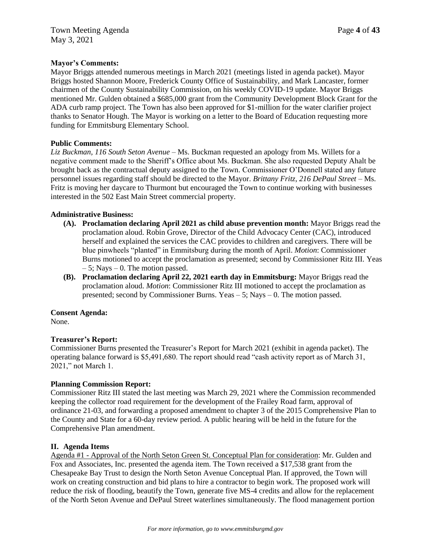### **Mayor's Comments:**

Mayor Briggs attended numerous meetings in March 2021 (meetings listed in agenda packet). Mayor Briggs hosted Shannon Moore, Frederick County Office of Sustainability, and Mark Lancaster, former chairmen of the County Sustainability Commission, on his weekly COVID-19 update. Mayor Briggs mentioned Mr. Gulden obtained a \$685,000 grant from the Community Development Block Grant for the ADA curb ramp project. The Town has also been approved for \$1-million for the water clarifier project thanks to Senator Hough. The Mayor is working on a letter to the Board of Education requesting more funding for Emmitsburg Elementary School.

### **Public Comments:**

*Liz Buckman, 116 South Seton Avenue* – Ms. Buckman requested an apology from Ms. Willets for a negative comment made to the Sheriff's Office about Ms. Buckman. She also requested Deputy Ahalt be brought back as the contractual deputy assigned to the Town. Commissioner O'Donnell stated any future personnel issues regarding staff should be directed to the Mayor. *Brittany Fritz, 216 DePaul Street* – Ms. Fritz is moving her daycare to Thurmont but encouraged the Town to continue working with businesses interested in the 502 East Main Street commercial property.

### **Administrative Business:**

- **(A). Proclamation declaring April 2021 as child abuse prevention month:** Mayor Briggs read the proclamation aloud. Robin Grove, Director of the Child Advocacy Center (CAC), introduced herself and explained the services the CAC provides to children and caregivers. There will be blue pinwheels "planted" in Emmitsburg during the month of April. *Motion*: Commissioner Burns motioned to accept the proclamation as presented; second by Commissioner Ritz III. Yeas  $-5$ ; Nays  $-0$ . The motion passed.
- **(B). Proclamation declaring April 22, 2021 earth day in Emmitsburg:** Mayor Briggs read the proclamation aloud. *Motion*: Commissioner Ritz III motioned to accept the proclamation as presented; second by Commissioner Burns. Yeas – 5; Nays – 0. The motion passed.

### **Consent Agenda:**

None.

# **Treasurer's Report:**

Commissioner Burns presented the Treasurer's Report for March 2021 (exhibit in agenda packet). The operating balance forward is \$5,491,680. The report should read "cash activity report as of March 31, 2021," not March 1.

### **Planning Commission Report:**

Commissioner Ritz III stated the last meeting was March 29, 2021 where the Commission recommended keeping the collector road requirement for the development of the Frailey Road farm, approval of ordinance 21-03, and forwarding a proposed amendment to chapter 3 of the 2015 Comprehensive Plan to the County and State for a 60-day review period. A public hearing will be held in the future for the Comprehensive Plan amendment.

### **II. Agenda Items**

Agenda #1 - Approval of the North Seton Green St. Conceptual Plan for consideration: Mr. Gulden and Fox and Associates, Inc. presented the agenda item. The Town received a \$17,538 grant from the Chesapeake Bay Trust to design the North Seton Avenue Conceptual Plan. If approved, the Town will work on creating construction and bid plans to hire a contractor to begin work. The proposed work will reduce the risk of flooding, beautify the Town, generate five MS-4 credits and allow for the replacement of the North Seton Avenue and DePaul Street waterlines simultaneously. The flood management portion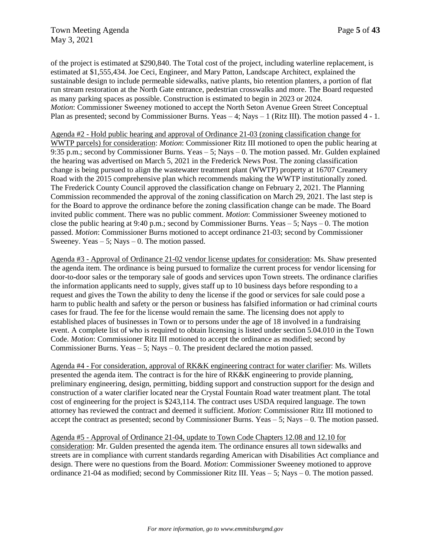of the project is estimated at \$290,840. The Total cost of the project, including waterline replacement, is estimated at \$1,555,434. Joe Ceci, Engineer, and Mary Patton, Landscape Architect, explained the sustainable design to include permeable sidewalks, native plants, bio retention planters, a portion of flat run stream restoration at the North Gate entrance, pedestrian crosswalks and more. The Board requested as many parking spaces as possible. Construction is estimated to begin in 2023 or 2024. *Motion*: Commissioner Sweeney motioned to accept the North Seton Avenue Green Street Conceptual Plan as presented; second by Commissioner Burns. Yeas – 4; Nays – 1 (Ritz III). The motion passed 4 - 1.

Agenda #2 - Hold public hearing and approval of Ordinance 21-03 (zoning classification change for WWTP parcels) for consideration: *Motion*: Commissioner Ritz III motioned to open the public hearing at 9:35 p.m.; second by Commissioner Burns. Yeas – 5; Nays – 0. The motion passed. Mr. Gulden explained the hearing was advertised on March 5, 2021 in the Frederick News Post. The zoning classification change is being pursued to align the wastewater treatment plant (WWTP) property at 16707 Creamery Road with the 2015 comprehensive plan which recommends making the WWTP institutionally zoned. The Frederick County Council approved the classification change on February 2, 2021. The Planning Commission recommended the approval of the zoning classification on March 29, 2021. The last step is for the Board to approve the ordinance before the zoning classification change can be made. The Board invited public comment. There was no public comment. *Motion*: Commissioner Sweeney motioned to close the public hearing at 9:40 p.m.; second by Commissioner Burns. Yeas  $-5$ ; Nays  $-0$ . The motion passed. *Motion*: Commissioner Burns motioned to accept ordinance 21-03; second by Commissioner Sweeney. Yeas  $-5$ ; Nays  $-0$ . The motion passed.

Agenda #3 - Approval of Ordinance 21-02 vendor license updates for consideration: Ms. Shaw presented the agenda item. The ordinance is being pursued to formalize the current process for vendor licensing for door-to-door sales or the temporary sale of goods and services upon Town streets. The ordinance clarifies the information applicants need to supply, gives staff up to 10 business days before responding to a request and gives the Town the ability to deny the license if the good or services for sale could pose a harm to public health and safety or the person or business has falsified information or had criminal courts cases for fraud. The fee for the license would remain the same. The licensing does not apply to established places of businesses in Town or to persons under the age of 18 involved in a fundraising event. A complete list of who is required to obtain licensing is listed under section 5.04.010 in the Town Code. *Motion*: Commissioner Ritz III motioned to accept the ordinance as modified; second by Commissioner Burns. Yeas  $-5$ ; Nays  $-0$ . The president declared the motion passed.

Agenda #4 - For consideration, approval of RK&K engineering contract for water clarifier: Ms. Willets presented the agenda item. The contract is for the hire of RK&K engineering to provide planning, preliminary engineering, design, permitting, bidding support and construction support for the design and construction of a water clarifier located near the Crystal Fountain Road water treatment plant. The total cost of engineering for the project is \$243,114. The contract uses USDA required language. The town attorney has reviewed the contract and deemed it sufficient. *Motion*: Commissioner Ritz III motioned to accept the contract as presented; second by Commissioner Burns. Yeas – 5; Nays – 0. The motion passed.

Agenda #5 - Approval of Ordinance 21-04, update to Town Code Chapters 12.08 and 12.10 for consideration: Mr. Gulden presented the agenda item. The ordinance ensures all town sidewalks and streets are in compliance with current standards regarding American with Disabilities Act compliance and design. There were no questions from the Board. *Motion*: Commissioner Sweeney motioned to approve ordinance 21-04 as modified; second by Commissioner Ritz III. Yeas – 5; Nays – 0. The motion passed.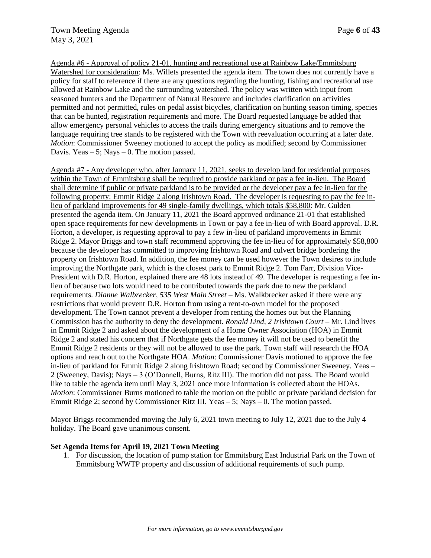Agenda #6 - Approval of policy 21-01, hunting and recreational use at Rainbow Lake/Emmitsburg Watershed for consideration: Ms. Willets presented the agenda item. The town does not currently have a policy for staff to reference if there are any questions regarding the hunting, fishing and recreational use allowed at Rainbow Lake and the surrounding watershed. The policy was written with input from seasoned hunters and the Department of Natural Resource and includes clarification on activities permitted and not permitted, rules on pedal assist bicycles, clarification on hunting season timing, species that can be hunted, registration requirements and more. The Board requested language be added that allow emergency personal vehicles to access the trails during emergency situations and to remove the language requiring tree stands to be registered with the Town with reevaluation occurring at a later date. *Motion*: Commissioner Sweeney motioned to accept the policy as modified; second by Commissioner Davis. Yeas  $-5$ ; Nays  $-0$ . The motion passed.

Agenda #7 - Any developer who, after January 11, 2021, seeks to develop land for residential purposes within the Town of Emmitsburg shall be required to provide parkland or pay a fee in-lieu. The Board shall determine if public or private parkland is to be provided or the developer pay a fee in-lieu for the following property: Emmit Ridge 2 along Irishtown Road. The developer is requesting to pay the fee inlieu of parkland improvements for 49 single-family dwellings, which totals \$58,800: Mr. Gulden presented the agenda item. On January 11, 2021 the Board approved ordinance 21-01 that established open space requirements for new developments in Town or pay a fee in-lieu of with Board approval. D.R. Horton, a developer, is requesting approval to pay a few in-lieu of parkland improvements in Emmit Ridge 2. Mayor Briggs and town staff recommend approving the fee in-lieu of for approximately \$58,800 because the developer has committed to improving Irishtown Road and culvert bridge bordering the property on Irishtown Road. In addition, the fee money can be used however the Town desires to include improving the Northgate park, which is the closest park to Emmit Ridge 2. Tom Farr, Division Vice-President with D.R. Horton, explained there are 48 lots instead of 49. The developer is requesting a fee inlieu of because two lots would need to be contributed towards the park due to new the parkland requirements. *Dianne Walbrecker, 535 West Main Street* – Ms. Walkbrecker asked if there were any restrictions that would prevent D.R. Horton from using a rent-to-own model for the proposed development. The Town cannot prevent a developer from renting the homes out but the Planning Commission has the authority to deny the development. *Ronald Lind, 2 Irishtown Court* – Mr. Lind lives in Emmit Ridge 2 and asked about the development of a Home Owner Association (HOA) in Emmit Ridge 2 and stated his concern that if Northgate gets the fee money it will not be used to benefit the Emmit Ridge 2 residents or they will not be allowed to use the park. Town staff will research the HOA options and reach out to the Northgate HOA. *Motion*: Commissioner Davis motioned to approve the fee in-lieu of parkland for Emmit Ridge 2 along Irishtown Road; second by Commissioner Sweeney. Yeas – 2 (Sweeney, Davis); Nays – 3 (O'Donnell, Burns, Ritz III). The motion did not pass. The Board would like to table the agenda item until May 3, 2021 once more information is collected about the HOAs. *Motion*: Commissioner Burns motioned to table the motion on the public or private parkland decision for Emmit Ridge 2; second by Commissioner Ritz III. Yeas – 5; Nays – 0. The motion passed.

Mayor Briggs recommended moving the July 6, 2021 town meeting to July 12, 2021 due to the July 4 holiday. The Board gave unanimous consent.

### **Set Agenda Items for April 19, 2021 Town Meeting**

1. For discussion, the location of pump station for Emmitsburg East Industrial Park on the Town of Emmitsburg WWTP property and discussion of additional requirements of such pump.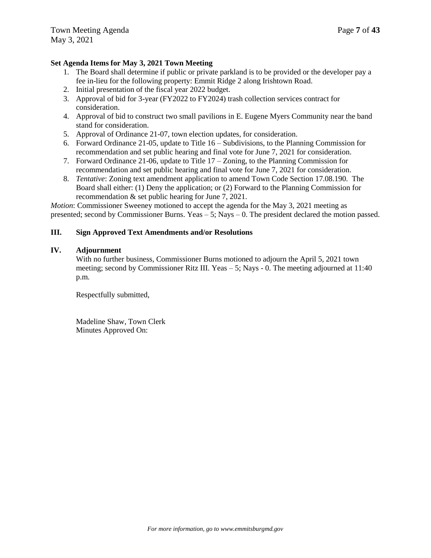# **Set Agenda Items for May 3, 2021 Town Meeting**

- 1. The Board shall determine if public or private parkland is to be provided or the developer pay a fee in-lieu for the following property: Emmit Ridge 2 along Irishtown Road.
- 2. Initial presentation of the fiscal year 2022 budget.
- 3. Approval of bid for 3-year (FY2022 to FY2024) trash collection services contract for consideration.
- 4. Approval of bid to construct two small pavilions in E. Eugene Myers Community near the band stand for consideration.
- 5. Approval of Ordinance 21-07, town election updates, for consideration.
- 6. Forward Ordinance 21-05, update to Title 16 Subdivisions, to the Planning Commission for recommendation and set public hearing and final vote for June 7, 2021 for consideration.
- 7. Forward Ordinance 21-06, update to Title 17 Zoning, to the Planning Commission for recommendation and set public hearing and final vote for June 7, 2021 for consideration.
- 8. *Tentative*: Zoning text amendment application to amend Town Code Section 17.08.190. The Board shall either: (1) Deny the application; or (2) Forward to the Planning Commission for recommendation & set public hearing for June 7, 2021.

*Motion*: Commissioner Sweeney motioned to accept the agenda for the May 3, 2021 meeting as presented; second by Commissioner Burns. Yeas – 5; Nays – 0. The president declared the motion passed.

## **III. Sign Approved Text Amendments and/or Resolutions**

### **IV. Adjournment**

With no further business, Commissioner Burns motioned to adjourn the April 5, 2021 town meeting; second by Commissioner Ritz III. Yeas  $-5$ ; Nays  $-0$ . The meeting adjourned at 11:40 p.m.

Respectfully submitted,

Madeline Shaw, Town Clerk Minutes Approved On: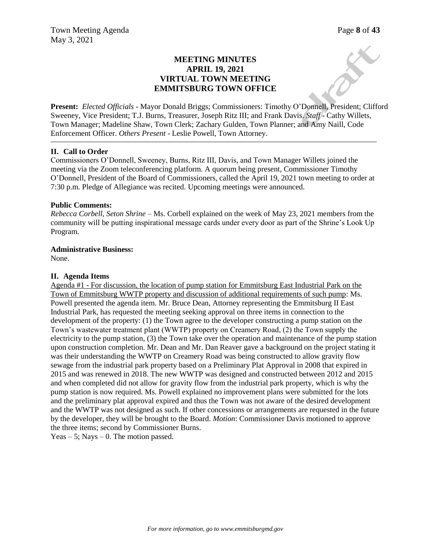# **MEETING MINUTES APRIL 19, 2021 VIRTUAL TOWN MEETING EMMITSBURG TOWN OFFICE**

**Present:** *Elected Officials* - Mayor Donald Briggs; Commissioners: Timothy O'Donnell, President; Clifford Sweeney, Vice President; T.J. Burns, Treasurer, Joseph Ritz III; and Frank Davis. *Staff* - Cathy Willets, Town Manager; Madeline Shaw, Town Clerk; Zachary Gulden, Town Planner; and Amy Naill, Code Enforcement Officer. *Others Present* - Leslie Powell, Town Attorney.

### **II. Call to Order**

Commissioners O'Donnell, Sweeney, Burns, Ritz III, Davis, and Town Manager Willets joined the meeting via the Zoom teleconferencing platform. A quorum being present, Commissioner Timothy O'Donnell, President of the Board of Commissioners, called the April 19, 2021 town meeting to order at 7:30 p.m. Pledge of Allegiance was recited. Upcoming meetings were announced.

### **Public Comments:**

*Rebecca Corbell, Seton Shrine –* Ms. Corbell explained on the week of May 23, 2021 members from the community will be putting inspirational message cards under every door as part of the Shrine's Look Up Program.

### **Administrative Business:**

None.

### **II. Agenda Items**

Agenda #1 - For discussion, the location of pump station for Emmitsburg East Industrial Park on the Town of Emmitsburg WWTP property and discussion of additional requirements of such pump: Ms. Powell presented the agenda item. Mr. Bruce Dean, Attorney representing the Emmitsburg II East Industrial Park, has requested the meeting seeking approval on three items in connection to the development of the property: (1) the Town agree to the developer constructing a pump station on the Town's wastewater treatment plant (WWTP) property on Creamery Road, (2) the Town supply the electricity to the pump station, (3) the Town take over the operation and maintenance of the pump station upon construction completion. Mr. Dean and Mr. Dan Reaver gave a background on the project stating it was their understanding the WWTP on Creamery Road was being constructed to allow gravity flow sewage from the industrial park property based on a Preliminary Plat Approval in 2008 that expired in 2015 and was renewed in 2018. The new WWTP was designed and constructed between 2012 and 2015 and when completed did not allow for gravity flow from the industrial park property, which is why the pump station is now required. Ms. Powell explained no improvement plans were submitted for the lots and the preliminary plat approval expired and thus the Town was not aware of the desired development and the WWTP was not designed as such. If other concessions or arrangements are requested in the future by the developer, they will be brought to the Board. *Motion*: Commissioner Davis motioned to approve the three items; second by Commissioner Burns.

Yeas  $-5$ ; Nays  $-0$ . The motion passed.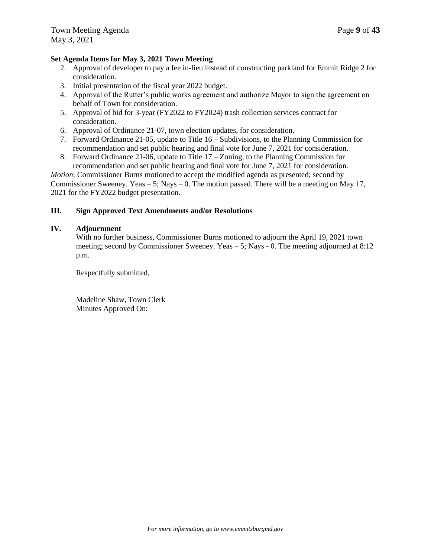### **Set Agenda Items for May 3, 2021 Town Meeting**

- 2. Approval of developer to pay a fee in-lieu instead of constructing parkland for Emmit Ridge 2 for consideration.
- 3. Initial presentation of the fiscal year 2022 budget.
- 4. Approval of the Rutter's public works agreement and authorize Mayor to sign the agreement on behalf of Town for consideration.
- 5. Approval of bid for 3-year (FY2022 to FY2024) trash collection services contract for consideration.
- 6. Approval of Ordinance 21-07, town election updates, for consideration.
- 7. Forward Ordinance 21-05, update to Title 16 Subdivisions, to the Planning Commission for recommendation and set public hearing and final vote for June 7, 2021 for consideration.
- 8. Forward Ordinance 21-06, update to Title 17 Zoning, to the Planning Commission for recommendation and set public hearing and final vote for June 7, 2021 for consideration.

*Motion*: Commissioner Burns motioned to accept the modified agenda as presented; second by Commissioner Sweeney. Yeas  $-5$ ; Nays  $-0$ . The motion passed. There will be a meeting on May 17, 2021 for the FY2022 budget presentation.

### **III. Sign Approved Text Amendments and/or Resolutions**

### **IV. Adjournment**

With no further business, Commissioner Burns motioned to adjourn the April 19, 2021 town meeting; second by Commissioner Sweeney. Yeas – 5; Nays - 0. The meeting adjourned at 8:12 p.m.

Respectfully submitted,

Madeline Shaw, Town Clerk Minutes Approved On: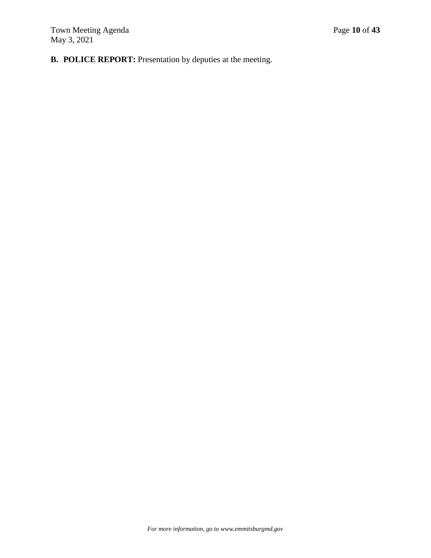**B. POLICE REPORT:** Presentation by deputies at the meeting.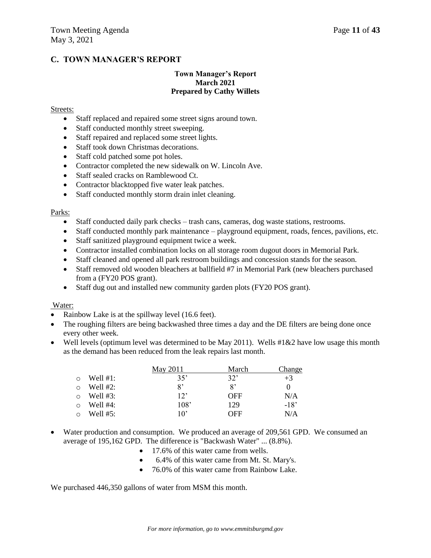# **C. TOWN MANAGER'S REPORT**

### **Town Manager's Report March 2021 Prepared by Cathy Willets**

#### Streets:

- Staff replaced and repaired some street signs around town.
- Staff conducted monthly street sweeping.
- Staff repaired and replaced some street lights.
- Staff took down Christmas decorations.
- Staff cold patched some pot holes.
- Contractor completed the new sidewalk on W. Lincoln Ave.
- Staff sealed cracks on Ramblewood Ct.
- Contractor blacktopped five water leak patches.
- Staff conducted monthly storm drain inlet cleaning.

#### Parks:

- Staff conducted daily park checks trash cans, cameras, dog waste stations, restrooms.
- $\bullet$  Staff conducted monthly park maintenance playground equipment, roads, fences, pavilions, etc.
- Staff sanitized playground equipment twice a week.
- Contractor installed combination locks on all storage room dugout doors in Memorial Park.
- Staff cleaned and opened all park restroom buildings and concession stands for the season.
- Staff removed old wooden bleachers at ballfield #7 in Memorial Park (new bleachers purchased from a (FY20 POS grant).
- Staff dug out and installed new community garden plots (FY20 POS grant).

### Water:

- Rainbow Lake is at the spillway level (16.6 feet).
- The roughing filters are being backwashed three times a day and the DE filters are being done once every other week.
- Well levels (optimum level was determined to be May 2011). Wells  $\#1\&2$  have low usage this month as the demand has been reduced from the leak repairs last month.

|         |             | May 2011 | March | Change |
|---------|-------------|----------|-------|--------|
| $\circ$ | Well $#1$ : | 35'      | 32'   | $+3$   |
| $\circ$ | Well $#2$ : | 8'       | 8'    |        |
| $\circ$ | Well $#3:$  | 12       | OFF   | N/A    |
| $\circ$ | Well $#4$ : | 108'     | 129   | $-18'$ |
|         | Well $#5:$  | 10'      | OFF   | N/A    |

- Water production and consumption. We produced an average of 209,561 GPD. We consumed an average of 195,162 GPD. The difference is "Backwash Water" ... (8.8%).
	- 17.6% of this water came from wells.
	- 6.4% of this water came from Mt. St. Mary's.
	- 76.0% of this water came from Rainbow Lake.

We purchased  $446,350$  gallons of water from MSM this month.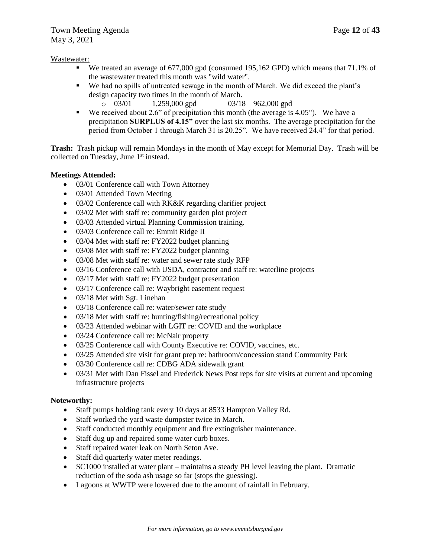### Wastewater:

- We treated an average of 677,000 gpd (consumed 195,162 GPD) which means that 71.1% of the wastewater treated this month was "wild water".
- We had no spills of untreated sewage in the month of March. We did exceed the plant's design capacity two times in the month of March.
	- $\degree$  03/01 1,259,000 gpd 03/18 962,000 gpd
- We received about 2.6" of precipitation this month (the average is 4.05"). We have a precipitation **SURPLUS of 4.15"** over the last six months. The average precipitation for the period from October 1 through March 31 is 20.25". We have received 24.4" for that period.

**Trash:** Trash pickup will remain Mondays in the month of May except for Memorial Day. Trash will be collected on Tuesday, June 1<sup>st</sup> instead.

## **Meetings Attended:**

- 03/01 Conference call with Town Attorney
- 03/01 Attended Town Meeting
- 03/02 Conference call with RK&K regarding clarifier project
- 03/02 Met with staff re: community garden plot project
- 03/03 Attended virtual Planning Commission training.
- 03/03 Conference call re: Emmit Ridge II
- 03/04 Met with staff re: FY2022 budget planning
- 03/08 Met with staff re: FY2022 budget planning
- 03/08 Met with staff re: water and sewer rate study RFP
- 03/16 Conference call with USDA, contractor and staff re: waterline projects
- 03/17 Met with staff re: FY2022 budget presentation
- 03/17 Conference call re: Waybright easement request
- 03/18 Met with Sgt. Linehan
- 03/18 Conference call re: water/sewer rate study
- 03/18 Met with staff re: hunting/fishing/recreational policy
- 03/23 Attended webinar with LGIT re: COVID and the workplace
- 03/24 Conference call re: McNair property
- 03/25 Conference call with County Executive re: COVID, vaccines, etc.
- 03/25 Attended site visit for grant prep re: bathroom/concession stand Community Park
- 03/30 Conference call re: CDBG ADA sidewalk grant
- 03/31 Met with Dan Fissel and Frederick News Post reps for site visits at current and upcoming infrastructure projects

# **Noteworthy:**

- Staff pumps holding tank every 10 days at 8533 Hampton Valley Rd.
- Staff worked the yard waste dumpster twice in March.
- Staff conducted monthly equipment and fire extinguisher maintenance.
- Staff dug up and repaired some water curb boxes.
- Staff repaired water leak on North Seton Ave.
- Staff did quarterly water meter readings.
- SC1000 installed at water plant maintains a steady PH level leaving the plant. Dramatic reduction of the soda ash usage so far (stops the guessing).
- Lagoons at WWTP were lowered due to the amount of rainfall in February.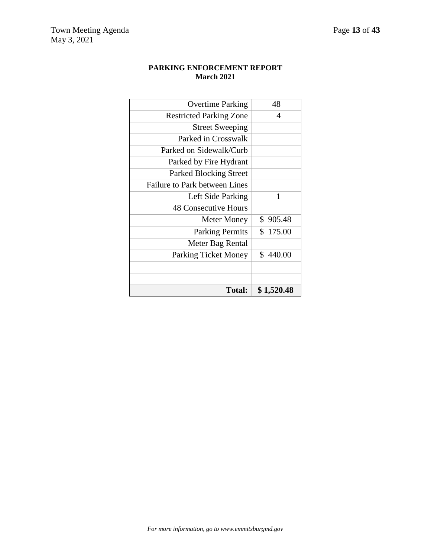| PARKING ENFORCEMENT REPORT |
|----------------------------|
| <b>March 2021</b>          |

| Total:                         | \$1,520.48               |
|--------------------------------|--------------------------|
|                                |                          |
|                                |                          |
| <b>Parking Ticket Money</b>    | \$440.00                 |
| Meter Bag Rental               |                          |
| <b>Parking Permits</b>         | \$175.00                 |
| <b>Meter Money</b>             | \$905.48                 |
| <b>48 Consecutive Hours</b>    |                          |
| Left Side Parking              | 1                        |
| Failure to Park between Lines  |                          |
| <b>Parked Blocking Street</b>  |                          |
| Parked by Fire Hydrant         |                          |
| Parked on Sidewalk/Curb        |                          |
| Parked in Crosswalk            |                          |
| <b>Street Sweeping</b>         |                          |
| <b>Restricted Parking Zone</b> | $\overline{\mathcal{A}}$ |
| <b>Overtime Parking</b>        | 48                       |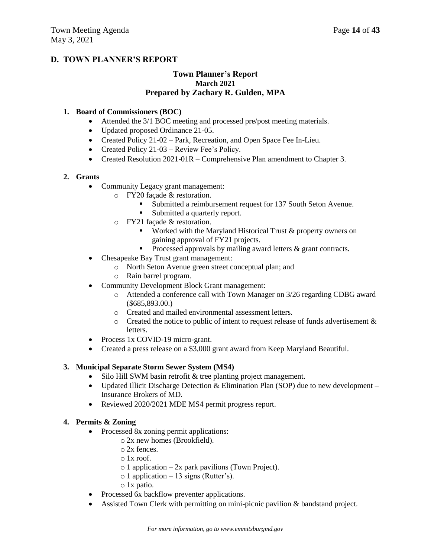# **D. TOWN PLANNER'S REPORT**

# **Town Planner's Report March 2021 Prepared by Zachary R. Gulden, MPA**

### **1. Board of Commissioners (BOC)**

- Attended the 3/1 BOC meeting and processed pre/post meeting materials.
- Updated proposed Ordinance 21-05.
- Created Policy 21-02 Park, Recreation, and Open Space Fee In-Lieu.
- Created Policy 21-03 Review Fee's Policy.
- Created Resolution 2021-01R Comprehensive Plan amendment to Chapter 3.

### **2. Grants**

- Community Legacy grant management:
	- o FY20 façade & restoration.
		- Submitted a reimbursement request for 137 South Seton Avenue.
		- **Submitted a quarterly report.**
	- o FY21 façade & restoration.
		- **Worked with the Maryland Historical Trust**  $\&$  **property owners on** gaining approval of FY21 projects.
		- Processed approvals by mailing award letters  $\&$  grant contracts.
- Chesapeake Bay Trust grant management:
	- o North Seton Avenue green street conceptual plan; and
	- o Rain barrel program.
- Community Development Block Grant management:
	- o Attended a conference call with Town Manager on 3/26 regarding CDBG award (\$685,893.00.)
	- o Created and mailed environmental assessment letters.
	- o Created the notice to public of intent to request release of funds advertisement & letters.
- Process 1x COVID-19 micro-grant.
- Created a press release on a \$3,000 grant award from Keep Maryland Beautiful.

### **3. Municipal Separate Storm Sewer System (MS4)**

- Silo Hill SWM basin retrofit & tree planting project management.
- Updated Illicit Discharge Detection & Elimination Plan (SOP) due to new development Insurance Brokers of MD.
- Reviewed 2020/2021 MDE MS4 permit progress report.

### **4. Permits & Zoning**

- Processed 8x zoning permit applications:
	- o 2x new homes (Brookfield).
	- o 2x fences.
	- o 1x roof.
	- $\circ$  1 application 2x park pavilions (Town Project).
	- o 1 application 13 signs (Rutter's).
	- o 1x patio.
- Processed 6x backflow preventer applications.
- Assisted Town Clerk with permitting on mini-picnic pavilion & bandstand project.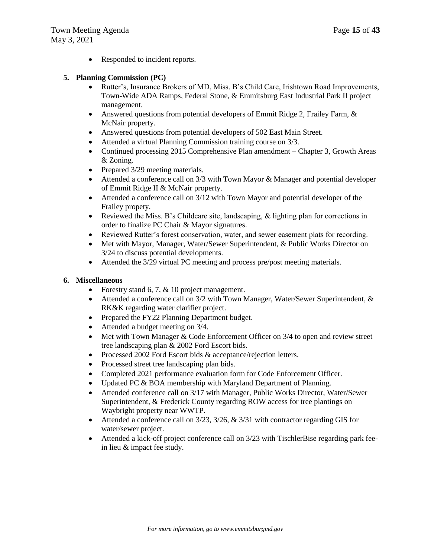• Responded to incident reports.

### **5. Planning Commission (PC)**

- Rutter's, Insurance Brokers of MD, Miss. B's Child Care, Irishtown Road Improvements, Town-Wide ADA Ramps, Federal Stone, & Emmitsburg East Industrial Park II project management.
- Answered questions from potential developers of Emmit Ridge 2, Frailey Farm, & McNair property.
- Answered questions from potential developers of 502 East Main Street.
- Attended a virtual Planning Commission training course on 3/3.
- Continued processing 2015 Comprehensive Plan amendment Chapter 3, Growth Areas & Zoning.
- Prepared 3/29 meeting materials.
- Attended a conference call on 3/3 with Town Mayor & Manager and potential developer of Emmit Ridge II & McNair property.
- Attended a conference call on 3/12 with Town Mayor and potential developer of the Frailey propety.
- Exercise News Meta Miss. B's Childcare site, landscaping,  $\&$  lighting plan for corrections in order to finalize PC Chair & Mayor signatures.
- Reviewed Rutter's forest conservation, water, and sewer easement plats for recording.
- Met with Mayor, Manager, Water/Sewer Superintendent, & Public Works Director on 3/24 to discuss potential developments.
- Attended the 3/29 virtual PC meeting and process pre/post meeting materials.

### **6. Miscellaneous**

- Forestry stand 6, 7,  $& 10$  project management.
- Attended a conference call on 3/2 with Town Manager, Water/Sewer Superintendent, & RK&K regarding water clarifier project.
- Prepared the FY22 Planning Department budget.
- Attended a budget meeting on 3/4.
- $\bullet$  Met with Town Manager & Code Enforcement Officer on 3/4 to open and review street tree landscaping plan & 2002 Ford Escort bids.
- Processed 2002 Ford Escort bids & acceptance/rejection letters.
- Processed street tree landscaping plan bids.
- Completed 2021 performance evaluation form for Code Enforcement Officer.
- Updated PC & BOA membership with Maryland Department of Planning.
- Attended conference call on 3/17 with Manager, Public Works Director, Water/Sewer Superintendent, & Frederick County regarding ROW access for tree plantings on Waybright property near WWTP.
- Attended a conference call on  $3/23$ ,  $3/26$ ,  $\&$   $3/31$  with contractor regarding GIS for water/sewer project.
- Attended a kick-off project conference call on 3/23 with TischlerBise regarding park feein lieu & impact fee study.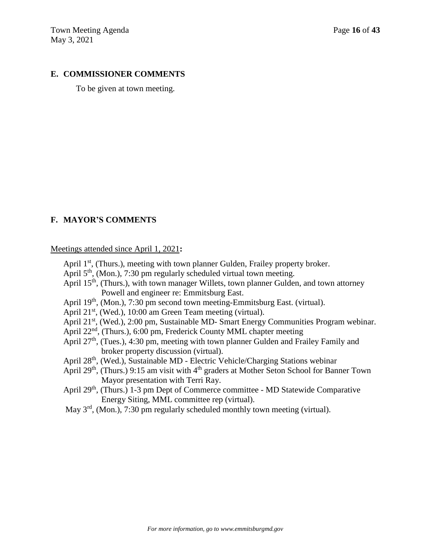# **E. COMMISSIONER COMMENTS**

To be given at town meeting.

## **F. MAYOR'S COMMENTS**

Meetings attended since April 1, 2021**:**

- April  $1<sup>st</sup>$ , (Thurs.), meeting with town planner Gulden, Frailey property broker.
- April 5<sup>th</sup>, (Mon.), 7:30 pm regularly scheduled virtual town meeting.
- April 15<sup>th</sup>, (Thurs.), with town manager Willets, town planner Gulden, and town attorney Powell and engineer re: Emmitsburg East.
- April 19<sup>th</sup>, (Mon.), 7:30 pm second town meeting-Emmitsburg East. (virtual).
- April 21<sup>st</sup>, (Wed.), 10:00 am Green Team meeting (virtual).
- April 21<sup>st</sup>, (Wed.), 2:00 pm, Sustainable MD- Smart Energy Communities Program webinar.
- April 22<sup>nd</sup>, (Thurs.), 6:00 pm, Frederick County MML chapter meeting
- April  $27<sup>th</sup>$ , (Tues.), 4:30 pm, meeting with town planner Gulden and Frailey Family and broker property discussion (virtual).
- April 28th, (Wed.), Sustainable MD Electric Vehicle/Charging Stations webinar
- April 29<sup>th</sup>, (Thurs.) 9:15 am visit with 4<sup>th</sup> graders at Mother Seton School for Banner Town Mayor presentation with Terri Ray.
- April 29<sup>th</sup>, (Thurs.) 1-3 pm Dept of Commerce committee MD Statewide Comparative Energy Siting, MML committee rep (virtual).
- May 3<sup>rd</sup>, (Mon.), 7:30 pm regularly scheduled monthly town meeting (virtual).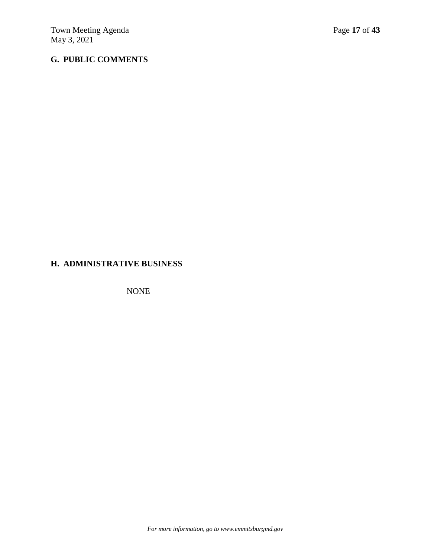# **G. PUBLIC COMMENTS**

# **H. ADMINISTRATIVE BUSINESS**

NONE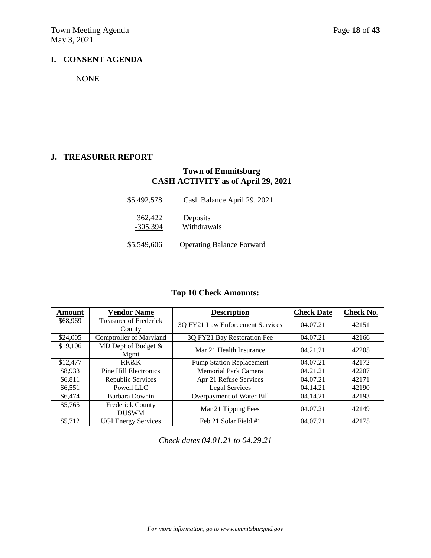# **I. CONSENT AGENDA**

NONE

# **J. TREASURER REPORT**

# **Town of Emmitsburg CASH ACTIVITY as of April 29, 2021**

| \$5,492,578           | Cash Balance April 29, 2021      |
|-----------------------|----------------------------------|
| 362,422<br>$-305,394$ | Deposits<br>Withdrawals          |
| \$5,549,606           | <b>Operating Balance Forward</b> |

# **Top 10 Check Amounts:**

| <b>Amount</b> | <b>Vendor Name</b>                      | <b>Description</b>               | <b>Check Date</b> | <b>Check No.</b> |
|---------------|-----------------------------------------|----------------------------------|-------------------|------------------|
| \$68,969      | <b>Treasurer of Frederick</b><br>County | 3Q FY21 Law Enforcement Services | 04.07.21          | 42151            |
| \$24,005      | Comptroller of Maryland                 | 3Q FY21 Bay Restoration Fee      | 04.07.21          | 42166            |
| \$19,106      | MD Dept of Budget &<br>Mgmt             | Mar 21 Health Insurance          | 04.21.21          | 42205            |
| \$12,477      | <b>RK&amp;K</b>                         | <b>Pump Station Replacement</b>  | 04.07.21          | 42172            |
| \$8,933       | <b>Pine Hill Electronics</b>            | Memorial Park Camera             | 04.21.21          | 42207            |
| \$6,811       | <b>Republic Services</b>                | Apr 21 Refuse Services           | 04.07.21          | 42171            |
| \$6,551       | Powell LLC                              | Legal Services                   | 04.14.21          | 42190            |
| \$6,474       | Barbara Downin                          | Overpayment of Water Bill        | 04.14.21          | 42193            |
| \$5,765       | <b>Frederick County</b><br><b>DUSWM</b> | Mar 21 Tipping Fees              | 04.07.21          | 42149            |
| \$5,712       | <b>UGI Energy Services</b>              | Feb 21 Solar Field #1            | 04.07.21          | 42175            |

*Check dates 04.01.21 to 04.29.21*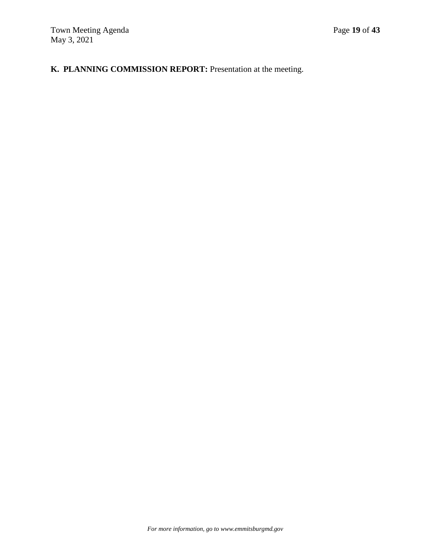# **K. PLANNING COMMISSION REPORT:** Presentation at the meeting.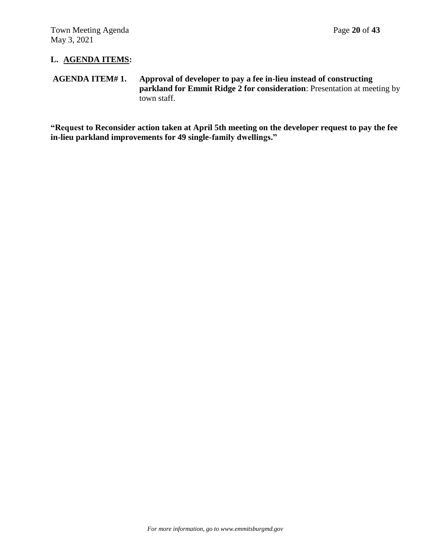# **L. AGENDA ITEMS:**

# **AGENDA ITEM# 1. Approval of developer to pay a fee in-lieu instead of constructing parkland for Emmit Ridge 2 for consideration**: Presentation at meeting by town staff.

**"Request to Reconsider action taken at April 5th meeting on the developer request to pay the fee in-lieu parkland improvements for 49 single-family dwellings."**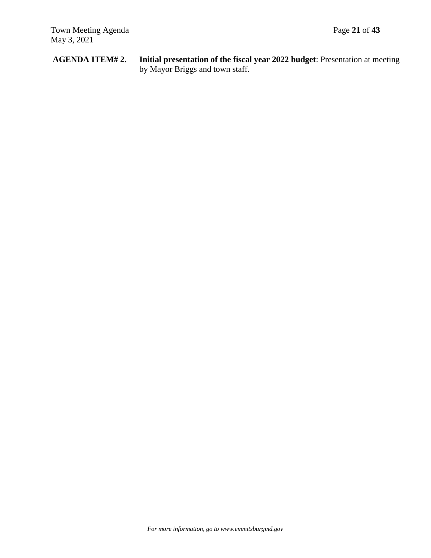**AGENDA ITEM# 2. Initial presentation of the fiscal year 2022 budget**: Presentation at meeting by Mayor Briggs and town staff.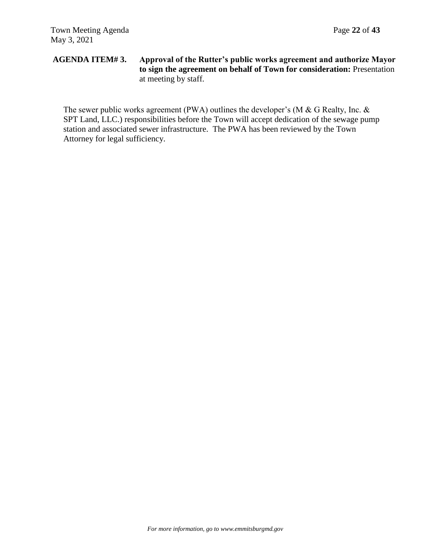# **AGENDA ITEM# 3. Approval of the Rutter's public works agreement and authorize Mayor to sign the agreement on behalf of Town for consideration:** Presentation at meeting by staff.

The sewer public works agreement (PWA) outlines the developer's (M & G Realty, Inc. & SPT Land, LLC.) responsibilities before the Town will accept dedication of the sewage pump station and associated sewer infrastructure. The PWA has been reviewed by the Town Attorney for legal sufficiency.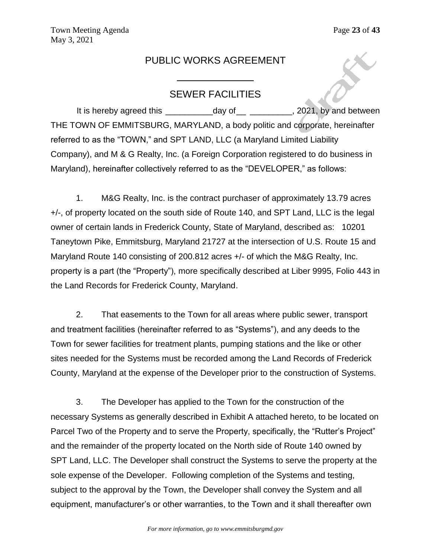# PUBLIC WORKS AGREEMENT

# SEWER FACILITIES

It is hereby agreed this \_\_\_\_\_\_\_\_\_\_\_\_\_day of \_\_\_\_\_\_\_\_\_\_\_\_\_, 2021, by and between THE TOWN OF EMMITSBURG, MARYLAND, a body politic and corporate, hereinafter referred to as the "TOWN," and SPT LAND, LLC (a Maryland Limited Liability Company), and M & G Realty, Inc. (a Foreign Corporation registered to do business in Maryland), hereinafter collectively referred to as the "DEVELOPER," as follows:

1. M&G Realty, Inc. is the contract purchaser of approximately 13.79 acres +/-, of property located on the south side of Route 140, and SPT Land, LLC is the legal owner of certain lands in Frederick County, State of Maryland, described as: 10201 Taneytown Pike, Emmitsburg, Maryland 21727 at the intersection of U.S. Route 15 and Maryland Route 140 consisting of 200.812 acres +/- of which the M&G Realty, Inc. property is a part (the "Property"), more specifically described at Liber 9995, Folio 443 in the Land Records for Frederick County, Maryland.

2. That easements to the Town for all areas where public sewer, transport and treatment facilities (hereinafter referred to as "Systems"), and any deeds to the Town for sewer facilities for treatment plants, pumping stations and the like or other sites needed for the Systems must be recorded among the Land Records of Frederick County, Maryland at the expense of the Developer prior to the construction of Systems.

3. The Developer has applied to the Town for the construction of the necessary Systems as generally described in Exhibit A attached hereto, to be located on Parcel Two of the Property and to serve the Property, specifically, the "Rutter's Project" and the remainder of the property located on the North side of Route 140 owned by SPT Land, LLC. The Developer shall construct the Systems to serve the property at the sole expense of the Developer. Following completion of the Systems and testing, subject to the approval by the Town, the Developer shall convey the System and all equipment, manufacturer's or other warranties, to the Town and it shall thereafter own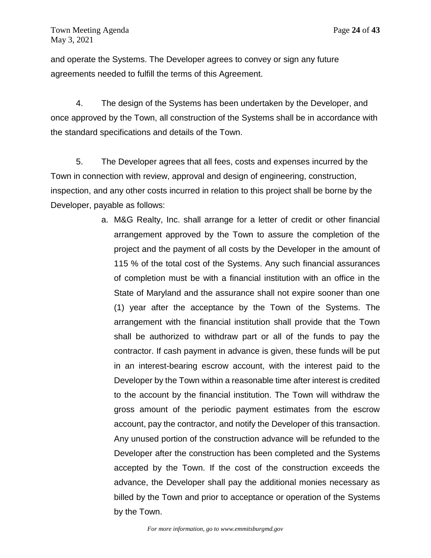and operate the Systems. The Developer agrees to convey or sign any future agreements needed to fulfill the terms of this Agreement.

4. The design of the Systems has been undertaken by the Developer, and once approved by the Town, all construction of the Systems shall be in accordance with the standard specifications and details of the Town.

5. The Developer agrees that all fees, costs and expenses incurred by the Town in connection with review, approval and design of engineering, construction, inspection, and any other costs incurred in relation to this project shall be borne by the Developer, payable as follows:

> a. M&G Realty, Inc. shall arrange for a letter of credit or other financial arrangement approved by the Town to assure the completion of the project and the payment of all costs by the Developer in the amount of 115 % of the total cost of the Systems. Any such financial assurances of completion must be with a financial institution with an office in the State of Maryland and the assurance shall not expire sooner than one (1) year after the acceptance by the Town of the Systems. The arrangement with the financial institution shall provide that the Town shall be authorized to withdraw part or all of the funds to pay the contractor. If cash payment in advance is given, these funds will be put in an interest-bearing escrow account, with the interest paid to the Developer by the Town within a reasonable time after interest is credited to the account by the financial institution. The Town will withdraw the gross amount of the periodic payment estimates from the escrow account, pay the contractor, and notify the Developer of this transaction. Any unused portion of the construction advance will be refunded to the Developer after the construction has been completed and the Systems accepted by the Town. If the cost of the construction exceeds the advance, the Developer shall pay the additional monies necessary as billed by the Town and prior to acceptance or operation of the Systems by the Town.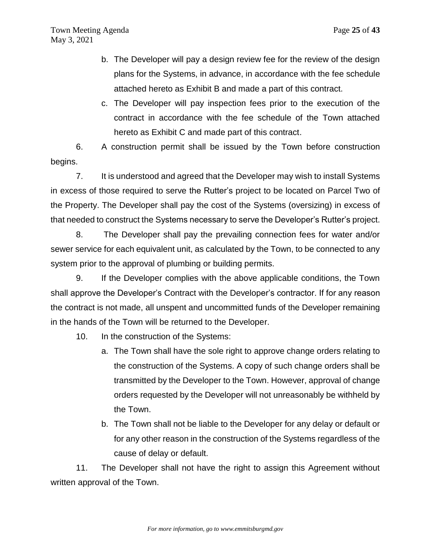- b. The Developer will pay a design review fee for the review of the design plans for the Systems, in advance, in accordance with the fee schedule attached hereto as Exhibit B and made a part of this contract.
- c. The Developer will pay inspection fees prior to the execution of the contract in accordance with the fee schedule of the Town attached hereto as Exhibit C and made part of this contract.

6. A construction permit shall be issued by the Town before construction begins.

7. It is understood and agreed that the Developer may wish to install Systems in excess of those required to serve the Rutter's project to be located on Parcel Two of the Property. The Developer shall pay the cost of the Systems (oversizing) in excess of that needed to construct the Systems necessary to serve the Developer's Rutter's project.

8. The Developer shall pay the prevailing connection fees for water and/or sewer service for each equivalent unit, as calculated by the Town, to be connected to any system prior to the approval of plumbing or building permits.

9. If the Developer complies with the above applicable conditions, the Town shall approve the Developer's Contract with the Developer's contractor. If for any reason the contract is not made, all unspent and uncommitted funds of the Developer remaining in the hands of the Town will be returned to the Developer.

10. In the construction of the Systems:

- a. The Town shall have the sole right to approve change orders relating to the construction of the Systems. A copy of such change orders shall be transmitted by the Developer to the Town. However, approval of change orders requested by the Developer will not unreasonably be withheld by the Town.
- b. The Town shall not be liable to the Developer for any delay or default or for any other reason in the construction of the Systems regardless of the cause of delay or default.

11. The Developer shall not have the right to assign this Agreement without written approval of the Town.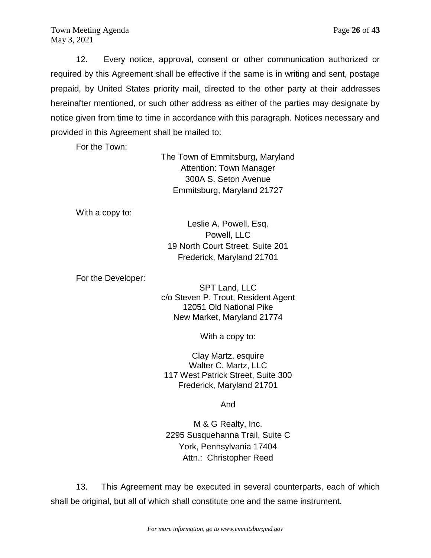Town Meeting Agenda **Page 26** of 43 May 3, 2021

12. Every notice, approval, consent or other communication authorized or required by this Agreement shall be effective if the same is in writing and sent, postage prepaid, by United States priority mail, directed to the other party at their addresses hereinafter mentioned, or such other address as either of the parties may designate by notice given from time to time in accordance with this paragraph. Notices necessary and provided in this Agreement shall be mailed to:

For the Town:

The Town of Emmitsburg, Maryland Attention: Town Manager 300A S. Seton Avenue Emmitsburg, Maryland 21727

With a copy to:

Leslie A. Powell, Esq. Powell, LLC 19 North Court Street, Suite 201 Frederick, Maryland 21701

For the Developer:

SPT Land, LLC c/o Steven P. Trout, Resident Agent 12051 Old National Pike New Market, Maryland 21774

With a copy to:

Clay Martz, esquire Walter C. Martz, LLC 117 West Patrick Street, Suite 300 Frederick, Maryland 21701

And

M & G Realty, Inc. 2295 Susquehanna Trail, Suite C York, Pennsylvania 17404 Attn.: Christopher Reed

13. This Agreement may be executed in several counterparts, each of which shall be original, but all of which shall constitute one and the same instrument.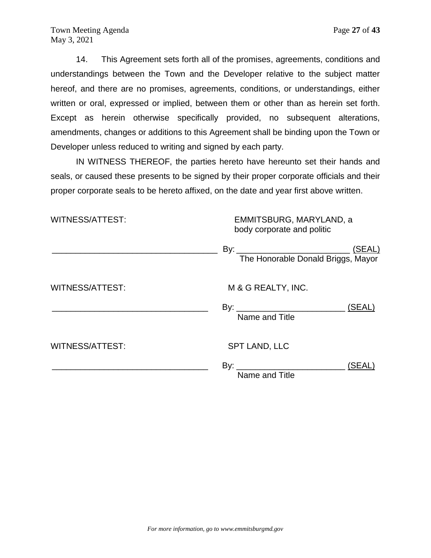14. This Agreement sets forth all of the promises, agreements, conditions and understandings between the Town and the Developer relative to the subject matter hereof, and there are no promises, agreements, conditions, or understandings, either written or oral, expressed or implied, between them or other than as herein set forth. Except as herein otherwise specifically provided, no subsequent alterations, amendments, changes or additions to this Agreement shall be binding upon the Town or Developer unless reduced to writing and signed by each party.

IN WITNESS THEREOF, the parties hereto have hereunto set their hands and seals, or caused these presents to be signed by their proper corporate officials and their proper corporate seals to be hereto affixed, on the date and year first above written.

| <b>WITNESS/ATTEST:</b> | EMMITSBURG, MARYLAND, a<br>body corporate and politic |        |  |
|------------------------|-------------------------------------------------------|--------|--|
|                        |                                                       |        |  |
| <b>WITNESS/ATTEST:</b> | M & G REALTY, INC.<br>Name and Title                  | (SEAL) |  |
| <b>WITNESS/ATTEST:</b> | <b>SPT LAND, LLC</b>                                  |        |  |
|                        | Name and Title                                        | (SEAL) |  |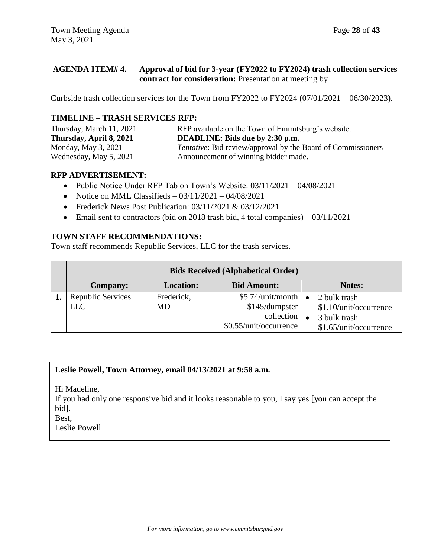# **AGENDA ITEM# 4. Approval of bid for 3-year (FY2022 to FY2024) trash collection services contract for consideration:** Presentation at meeting by

Curbside trash collection services for the Town from FY2022 to FY2024 (07/01/2021 – 06/30/2023).

# **TIMELINE – TRASH SERVICES RFP:**

| Thursday, March 11, 2021 | RFP available on the Town of Emmitsburg's website.                  |
|--------------------------|---------------------------------------------------------------------|
| Thursday, April 8, 2021  | <b>DEADLINE: Bids due by 2:30 p.m.</b>                              |
| Monday, May $3, 2021$    | <i>Tentative:</i> Bid review/approval by the Board of Commissioners |
| Wednesday, May 5, 2021   | Announcement of winning bidder made.                                |

## **RFP ADVERTISEMENT:**

- Public Notice Under RFP Tab on Town's Website: 03/11/2021 04/08/2021
- Notice on MML Classifieds  $-03/11/2021 04/08/2021$
- Frederick News Post Publication: 03/11/2021 & 03/12/2021
- Email sent to contractors (bid on 2018 trash bid, 4 total companies)  $03/11/2021$

# **TOWN STAFF RECOMMENDATIONS:**

Town staff recommends Republic Services, LLC for the trash services.

| <b>Bids Received (Alphabetical Order)</b> |                  |                               |                        |  |
|-------------------------------------------|------------------|-------------------------------|------------------------|--|
| <b>Company:</b>                           | <b>Location:</b> | <b>Bid Amount:</b>            | Notes:                 |  |
| <b>Republic Services</b>                  | Frederick,       | $$5.74$ /unit/month $\bullet$ | 2 bulk trash           |  |
| <b>LLC</b>                                | MD               | \$145/dumpster                | \$1.10/unit/occurrence |  |
|                                           |                  | collection                    | 3 bulk trash           |  |
|                                           |                  | \$0.55/unit/occurrence        | \$1.65/unit/occurrence |  |

# **Leslie Powell, Town Attorney, email 04/13/2021 at 9:58 a.m.**

Hi Madeline,

If you had only one responsive bid and it looks reasonable to you, I say yes [you can accept the bid].

Best,

Leslie Powell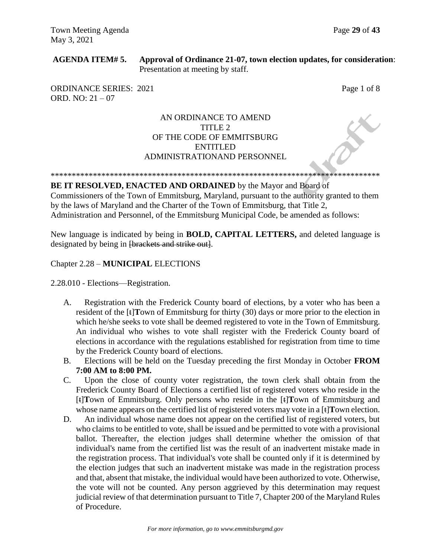# **AGENDA ITEM# 5. Approval of Ordinance 21-07, town election updates, for consideration**: Presentation at meeting by staff.

ORDINANCE SERIES: 2021 Page 1 of 8 ORD. NO: 21 – 07

# AN ORDINANCE TO AMEND TITLE 2 OF THE CODE OF EMMITSBURG ENTITLED ADMINISTRATIONAND PERSONNEL

\*\*\*\*\*\*\*\*\*\*\*\*\*\*\*\*\*\*\*\*\*\*\*\*\*\*\*\*\*\*\*\*\*\*\*\*\*\*\*\*\*\*\*\*\*\*\*\*\*\*\*\*\*\*\*\*\*\*\*\*\*\*\*\*\*\*\*\*\*\*\*\*\*\*\*\*\*\*

### **BE IT RESOLVED, ENACTED AND ORDAINED** by the Mayor and Board of

Commissioners of the Town of Emmitsburg, Maryland, pursuant to the authority granted to them by the laws of Maryland and the Charter of the Town of Emmitsburg, that Title 2, Administration and Personnel, of the Emmitsburg Municipal Code, be amended as follows:

New language is indicated by being in **BOLD, CAPITAL LETTERS,** and deleted language is designated by being in <del>[brackets and strike out]</del>.

# Chapter 2.28 – **MUNICIPAL** ELECTIONS

2.28.010 - Elections—Registration.

- A. Registration with the Frederick County board of elections, by a voter who has been a resident of the [t]**T**own of Emmitsburg for thirty (30) days or more prior to the election in which he/she seeks to vote shall be deemed registered to vote in the Town of Emmitsburg. An individual who wishes to vote shall register with the Frederick County board of elections in accordance with the regulations established for registration from time to time by the Frederick County board of elections.
- B. Elections will be held on the Tuesday preceding the first Monday in October **FROM 7:00 AM to 8:00 PM.**
- C. Upon the close of county voter registration, the town clerk shall obtain from the Frederick County Board of Elections a certified list of registered voters who reside in the [t]**T**own of Emmitsburg. Only persons who reside in the [t]**T**own of Emmitsburg and whose name appears on the certified list of registered voters may vote in a [t]**T**own election.
- D. An individual whose name does not appear on the certified list of registered voters, but who claims to be entitled to vote, shall be issued and be permitted to vote with a provisional ballot. Thereafter, the election judges shall determine whether the omission of that individual's name from the certified list was the result of an inadvertent mistake made in the registration process. That individual's vote shall be counted only if it is determined by the election judges that such an inadvertent mistake was made in the registration process and that, absent that mistake, the individual would have been authorized to vote. Otherwise, the vote will not be counted. Any person aggrieved by this determination may request judicial review of that determination pursuant to Title 7, Chapter 200 of the Maryland Rules of Procedure.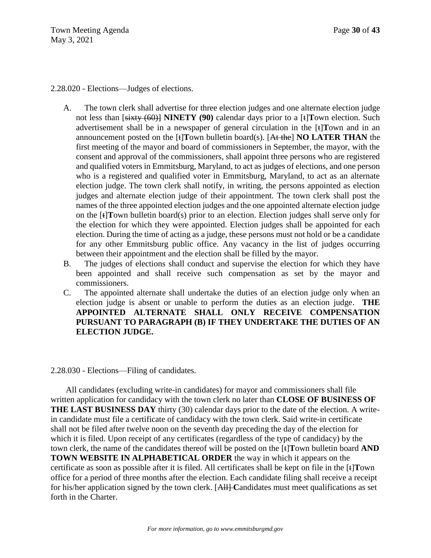2.28.020 - Elections—Judges of elections.

- A. The town clerk shall advertise for three election judges and one alternate election judge not less than [sixty (60)] **NINETY (90)** calendar days prior to a [t]**T**own election. Such advertisement shall be in a newspaper of general circulation in the [t]**T**own and in an announcement posted on the [t]**T**own bulletin board(s). [At the] **NO LATER THAN** the first meeting of the mayor and board of commissioners in September, the mayor, with the consent and approval of the commissioners, shall appoint three persons who are registered and qualified voters in Emmitsburg, Maryland, to act as judges of elections, and one person who is a registered and qualified voter in Emmitsburg, Maryland, to act as an alternate election judge. The town clerk shall notify, in writing, the persons appointed as election judges and alternate election judge of their appointment. The town clerk shall post the names of the three appointed election judges and the one appointed alternate election judge on the [t]**T**own bulletin board(s) prior to an election. Election judges shall serve only for the election for which they were appointed. Election judges shall be appointed for each election. During the time of acting as a judge, these persons must not hold or be a candidate for any other Emmitsburg public office. Any vacancy in the list of judges occurring between their appointment and the election shall be filled by the mayor.
- B. The judges of elections shall conduct and supervise the election for which they have been appointed and shall receive such compensation as set by the mayor and commissioners.
- C. The appointed alternate shall undertake the duties of an election judge only when an election judge is absent or unable to perform the duties as an election judge. **THE APPOINTED ALTERNATE SHALL ONLY RECEIVE COMPENSATION PURSUANT TO PARAGRAPH (B) IF THEY UNDERTAKE THE DUTIES OF AN ELECTION JUDGE.**

### 2.28.030 - Elections—Filing of candidates.

All candidates (excluding write-in candidates) for mayor and commissioners shall file written application for candidacy with the town clerk no later than **CLOSE OF BUSINESS OF THE LAST BUSINESS DAY** thirty (30) calendar days prior to the date of the election. A writein candidate must file a certificate of candidacy with the town clerk. Said write-in certificate shall not be filed after twelve noon on the seventh day preceding the day of the election for which it is filed. Upon receipt of any certificates (regardless of the type of candidacy) by the town clerk, the name of the candidates thereof will be posted on the [t]**T**own bulletin board **AND TOWN WEBSITE IN ALPHABETICAL ORDER** the way in which it appears on the certificate as soon as possible after it is filed. All certificates shall be kept on file in the [t]**T**own office for a period of three months after the election. Each candidate filing shall receive a receipt for his/her application signed by the town clerk. [All] Candidates must meet qualifications as set forth in the Charter.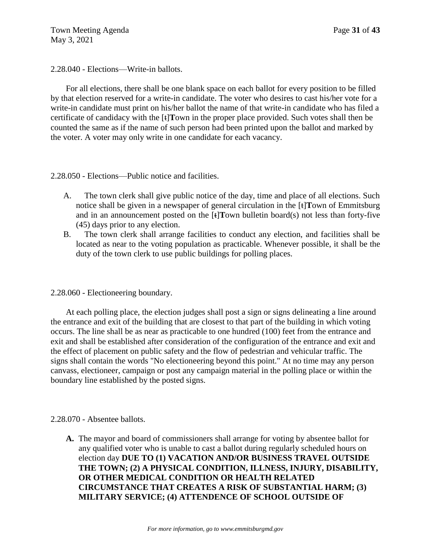Town Meeting Agenda Page 31 of 43 May 3, 2021

2.28.040 - Elections—Write-in ballots.

For all elections, there shall be one blank space on each ballot for every position to be filled by that election reserved for a write-in candidate. The voter who desires to cast his/her vote for a write-in candidate must print on his/her ballot the name of that write-in candidate who has filed a certificate of candidacy with the [t]**T**own in the proper place provided. Such votes shall then be counted the same as if the name of such person had been printed upon the ballot and marked by the voter. A voter may only write in one candidate for each vacancy.

# 2.28.050 - Elections—Public notice and facilities.

- A. The town clerk shall give public notice of the day, time and place of all elections. Such notice shall be given in a newspaper of general circulation in the [t]**T**own of Emmitsburg and in an announcement posted on the [t]**T**own bulletin board(s) not less than forty-five (45) days prior to any election.
- B. The town clerk shall arrange facilities to conduct any election, and facilities shall be located as near to the voting population as practicable. Whenever possible, it shall be the duty of the town clerk to use public buildings for polling places.

# 2.28.060 - Electioneering boundary.

At each polling place, the election judges shall post a sign or signs delineating a line around the entrance and exit of the building that are closest to that part of the building in which voting occurs. The line shall be as near as practicable to one hundred (100) feet from the entrance and exit and shall be established after consideration of the configuration of the entrance and exit and the effect of placement on public safety and the flow of pedestrian and vehicular traffic. The signs shall contain the words "No electioneering beyond this point." At no time may any person canvass, electioneer, campaign or post any campaign material in the polling place or within the boundary line established by the posted signs.

### 2.28.070 - Absentee ballots.

**A.** The mayor and board of commissioners shall arrange for voting by absentee ballot for any qualified voter who is unable to cast a ballot during regularly scheduled hours on election day **DUE TO (1) VACATION AND/OR BUSINESS TRAVEL OUTSIDE THE TOWN; (2) A PHYSICAL CONDITION, ILLNESS, INJURY, DISABILITY, OR OTHER MEDICAL CONDITION OR HEALTH RELATED CIRCUMSTANCE THAT CREATES A RISK OF SUBSTANTIAL HARM; (3) MILITARY SERVICE; (4) ATTENDENCE OF SCHOOL OUTSIDE OF**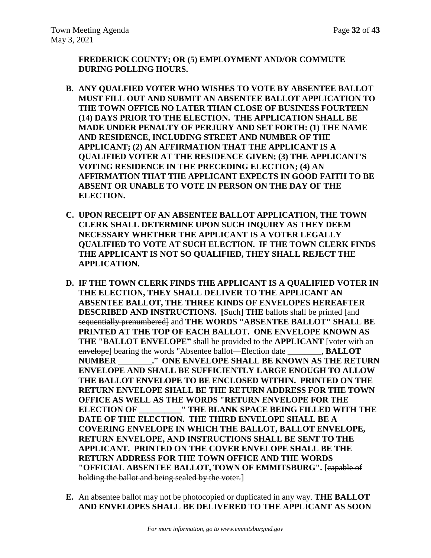**FREDERICK COUNTY; OR (5) EMPLOYMENT AND/OR COMMUTE DURING POLLING HOURS.**

- **B. ANY QUALFIED VOTER WHO WISHES TO VOTE BY ABSENTEE BALLOT MUST FILL OUT AND SUBMIT AN ABSENTEE BALLOT APPLICATION TO THE TOWN OFFICE NO LATER THAN CLOSE OF BUSINESS FOURTEEN (14) DAYS PRIOR TO THE ELECTION. THE APPLICATION SHALL BE MADE UNDER PENALTY OF PERJURY AND SET FORTH: (1) THE NAME AND RESIDENCE, INCLUDING STREET AND NUMBER OF THE APPLICANT; (2) AN AFFIRMATION THAT THE APPLICANT IS A QUALIFIED VOTER AT THE RESIDENCE GIVEN; (3) THE APPLICANT'S VOTING RESIDENCE IN THE PRECEDING ELECTION; (4) AN AFFIRMATION THAT THE APPLICANT EXPECTS IN GOOD FAITH TO BE ABSENT OR UNABLE TO VOTE IN PERSON ON THE DAY OF THE ELECTION.**
- **C. UPON RECEIPT OF AN ABSENTEE BALLOT APPLICATION, THE TOWN CLERK SHALL DETERMINE UPON SUCH INQUIRY AS THEY DEEM NECESSARY WHETHER THE APPLICANT IS A VOTER LEGALLY QUALIFIED TO VOTE AT SUCH ELECTION. IF THE TOWN CLERK FINDS THE APPLICANT IS NOT SO QUALIFIED, THEY SHALL REJECT THE APPLICATION.**
- **D. IF THE TOWN CLERK FINDS THE APPLICANT IS A QUALIFIED VOTER IN THE ELECTION, THEY SHALL DELIVER TO THE APPLICANT AN ABSENTEE BALLOT, THE THREE KINDS OF ENVELOPES HEREAFTER DESCRIBED AND INSTRUCTIONS. [Such] THE ballots shall be printed [and** sequentially prenumbered] and **THE WORDS** "ABSENTEE BALLOT" SHALL BE **PRINTED AT THE TOP OF EACH BALLOT. ONE ENVELOPE KNOWN AS THE "BALLOT ENVELOPE"** shall be provided to the **APPLICANT** [voter with an envelope] bearing the words "Absentee ballot—Election date \_\_\_\_\_\_\_\_, **BALLOT NUMBER .**" **ONE ENVELOPE SHALL BE KNOWN AS THE RETURN ENVELOPE AND SHALL BE SUFFICIENTLY LARGE ENOUGH TO ALLOW THE BALLOT ENVELOPE TO BE ENCLOSED WITHIN. PRINTED ON THE RETURN ENVELOPE SHALL BE THE RETURN ADDRESS FOR THE TOWN OFFICE AS WELL AS THE WORDS "RETURN ENVELOPE FOR THE ELECTION OF \_\_\_\_\_\_\_\_\_\_" THE BLANK SPACE BEING FILLED WITH THE DATE OF THE ELECTION. THE THIRD ENVELOPE SHALL BE A COVERING ENVELOPE IN WHICH THE BALLOT, BALLOT ENVELOPE, RETURN ENVELOPE, AND INSTRUCTIONS SHALL BE SENT TO THE APPLICANT. PRINTED ON THE COVER ENVELOPE SHALL BE THE RETURN ADDRESS FOR THE TOWN OFFICE AND THE WORDS "OFFICIAL ABSENTEE BALLOT, TOWN OF EMMITSBURG".** [capable of holding the ballot and being sealed by the voter.
- **E.** An absentee ballot may not be photocopied or duplicated in any way. **THE BALLOT AND ENVELOPES SHALL BE DELIVERED TO THE APPLICANT AS SOON**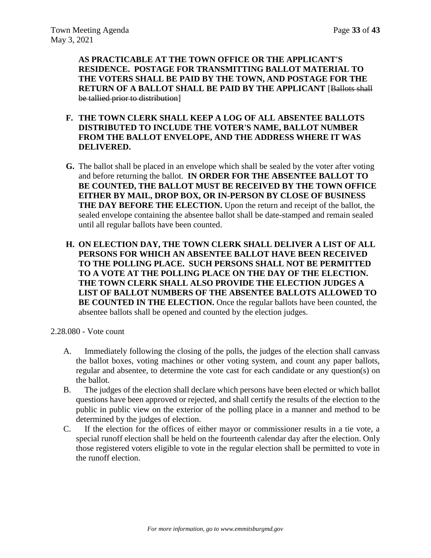**AS PRACTICABLE AT THE TOWN OFFICE OR THE APPLICANT'S RESIDENCE. POSTAGE FOR TRANSMITTING BALLOT MATERIAL TO THE VOTERS SHALL BE PAID BY THE TOWN, AND POSTAGE FOR THE RETURN OF A BALLOT SHALL BE PAID BY THE APPLICANT** [Ballots shall be tallied prior to distribution]

- **F. THE TOWN CLERK SHALL KEEP A LOG OF ALL ABSENTEE BALLOTS DISTRIBUTED TO INCLUDE THE VOTER'S NAME, BALLOT NUMBER FROM THE BALLOT ENVELOPE, AND THE ADDRESS WHERE IT WAS DELIVERED.**
- **G.** The ballot shall be placed in an envelope which shall be sealed by the voter after voting and before returning the ballot. **IN ORDER FOR THE ABSENTEE BALLOT TO BE COUNTED, THE BALLOT MUST BE RECEIVED BY THE TOWN OFFICE EITHER BY MAIL, DROP BOX, OR IN-PERSON BY CLOSE OF BUSINESS THE DAY BEFORE THE ELECTION.** Upon the return and receipt of the ballot, the sealed envelope containing the absentee ballot shall be date-stamped and remain sealed until all regular ballots have been counted.
- **H. ON ELECTION DAY, THE TOWN CLERK SHALL DELIVER A LIST OF ALL PERSONS FOR WHICH AN ABSENTEE BALLOT HAVE BEEN RECEIVED TO THE POLLING PLACE. SUCH PERSONS SHALL NOT BE PERMITTED TO A VOTE AT THE POLLING PLACE ON THE DAY OF THE ELECTION. THE TOWN CLERK SHALL ALSO PROVIDE THE ELECTION JUDGES A LIST OF BALLOT NUMBERS OF THE ABSENTEE BALLOTS ALLOWED TO BE COUNTED IN THE ELECTION.** Once the regular ballots have been counted, the absentee ballots shall be opened and counted by the election judges.
- 2.28.080 Vote count
	- A. Immediately following the closing of the polls, the judges of the election shall canvass the ballot boxes, voting machines or other voting system, and count any paper ballots, regular and absentee, to determine the vote cast for each candidate or any question(s) on the ballot.
	- B. The judges of the election shall declare which persons have been elected or which ballot questions have been approved or rejected, and shall certify the results of the election to the public in public view on the exterior of the polling place in a manner and method to be determined by the judges of election.
	- C. If the election for the offices of either mayor or commissioner results in a tie vote, a special runoff election shall be held on the fourteenth calendar day after the election. Only those registered voters eligible to vote in the regular election shall be permitted to vote in the runoff election.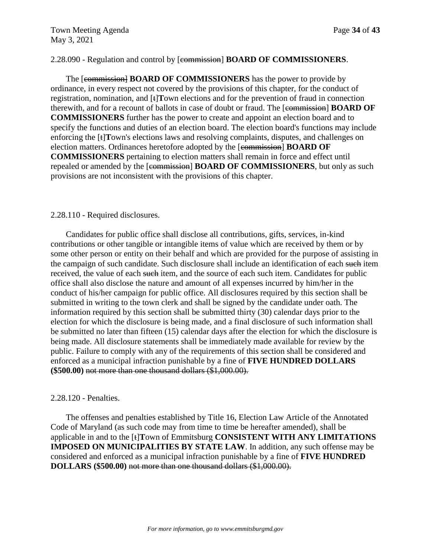# 2.28.090 - Regulation and control by [commission] **BOARD OF COMMISSIONERS**.

The [commission] **BOARD OF COMMISSIONERS** has the power to provide by ordinance, in every respect not covered by the provisions of this chapter, for the conduct of registration, nomination, and [t]**T**own elections and for the prevention of fraud in connection therewith, and for a recount of ballots in case of doubt or fraud. The [commission] **BOARD OF COMMISSIONERS** further has the power to create and appoint an election board and to specify the functions and duties of an election board. The election board's functions may include enforcing the [t]**T**own's elections laws and resolving complaints, disputes, and challenges on election matters. Ordinances heretofore adopted by the [commission] **BOARD OF COMMISSIONERS** pertaining to election matters shall remain in force and effect until repealed or amended by the [commission] **BOARD OF COMMISSIONERS**, but only as such provisions are not inconsistent with the provisions of this chapter.

### 2.28.110 - Required disclosures.

Candidates for public office shall disclose all contributions, gifts, services, in-kind contributions or other tangible or intangible items of value which are received by them or by some other person or entity on their behalf and which are provided for the purpose of assisting in the campaign of such candidate. Such disclosure shall include an identification of each such item received, the value of each such item, and the source of each such item. Candidates for public office shall also disclose the nature and amount of all expenses incurred by him/her in the conduct of his/her campaign for public office. All disclosures required by this section shall be submitted in writing to the town clerk and shall be signed by the candidate under oath. The information required by this section shall be submitted thirty (30) calendar days prior to the election for which the disclosure is being made, and a final disclosure of such information shall be submitted no later than fifteen (15) calendar days after the election for which the disclosure is being made. All disclosure statements shall be immediately made available for review by the public. Failure to comply with any of the requirements of this section shall be considered and enforced as a municipal infraction punishable by a fine of **FIVE HUNDRED DOLLARS (\$500.00)** not more than one thousand dollars (\$1,000.00).

# 2.28.120 - Penalties.

The offenses and penalties established by Title 16, Election Law Article of the Annotated Code of Maryland (as such code may from time to time be hereafter amended), shall be applicable in and to the [t]**T**own of Emmitsburg **CONSISTENT WITH ANY LIMITATIONS IMPOSED ON MUNICIPALITIES BY STATE LAW**. In addition, any such offense may be considered and enforced as a municipal infraction punishable by a fine of **FIVE HUNDRED DOLLARS (\$500.00)** not more than one thousand dollars (\$1,000.00).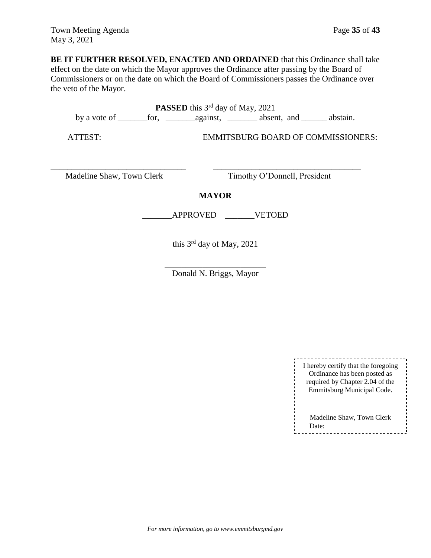**BE IT FURTHER RESOLVED, ENACTED AND ORDAINED** that this Ordinance shall take effect on the date on which the Mayor approves the Ordinance after passing by the Board of Commissioners or on the date on which the Board of Commissioners passes the Ordinance over the veto of the Mayor.

PASSED this 3<sup>rd</sup> day of May, 2021 by a vote of \_\_\_\_\_\_\_for, \_\_\_\_\_\_\_against, \_\_\_\_\_\_\_ absent, and \_\_\_\_\_\_ abstain.

ATTEST: EMMITSBURG BOARD OF COMMISSIONERS:

\_\_\_\_\_\_\_\_\_\_\_\_\_\_\_\_\_\_\_\_\_\_\_\_\_\_\_\_\_\_\_\_ \_\_\_\_\_\_\_\_\_\_\_\_\_\_\_\_\_\_\_\_\_\_\_\_\_\_\_\_\_\_\_\_\_\_\_ Madeline Shaw, Town Clerk Timothy O'Donnell, President

**MAYOR**

\_\_\_\_\_\_\_APPROVED \_\_\_\_\_\_\_VETOED

this  $3<sup>rd</sup>$  day of May, 2021

\_\_\_\_\_\_\_\_\_\_\_\_\_\_\_\_\_\_\_\_\_\_\_\_ Donald N. Briggs, Mayor

| I hereby certify that the foregoing<br>Ordinance has been posted as<br>required by Chapter 2.04 of the<br>Emmitsburg Municipal Code. |
|--------------------------------------------------------------------------------------------------------------------------------------|
| Madeline Shaw, Town Clerk<br>Date:                                                                                                   |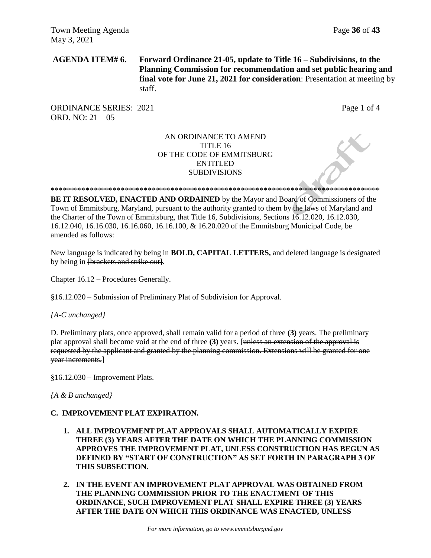**AGENDA ITEM# 6. Forward Ordinance 21-05, update to Title 16 – Subdivisions, to the Planning Commission for recommendation and set public hearing and final vote for June 21, 2021 for consideration**: Presentation at meeting by staff.

ORDINANCE SERIES: 2021 Page 1 of 4 ORD. NO: 21 – 05

### AN ORDINANCE TO AMEND TITLE 16 OF THE CODE OF EMMITSBURG ENTITLED **SUBDIVISIONS**

\*\*\*\*\*\*\*\*\*\*\*\*\*\*\*\*\*\*\*\*\*\*\*\*\*\*\*\*\*\*\*\*\*\*\*\*\*\*\*\*\*\*\*\*\*\*\*\*\*\*\*\*\*\*\*\*\*\*\*\*\*\*\*\*\*\*\*\*\*\*\*\*\*\*\*\*\*\*\*\*\*\*\*\*\*

**BE IT RESOLVED, ENACTED AND ORDAINED** by the Mayor and Board of Commissioners of the Town of Emmitsburg, Maryland, pursuant to the authority granted to them by the laws of Maryland and the Charter of the Town of Emmitsburg, that Title 16, Subdivisions, Sections 16.12.020, 16.12.030, 16.12.040, 16.16.030, 16.16.060, 16.16.100, & 16.20.020 of the Emmitsburg Municipal Code, be amended as follows:

New language is indicated by being in **BOLD, CAPITAL LETTERS,** and deleted language is designated by being in [brackets and strike out].

Chapter 16.12 – Procedures Generally.

§16.12.020 – Submission of Preliminary Plat of Subdivision for Approval.

*{A-C unchanged}*

D. Preliminary plats, once approved, shall remain valid for a period of three **(3)** years. The preliminary plat approval shall become void at the end of three **(3)** years**.** [unless an extension of the approval is requested by the applicant and granted by the planning commission. Extensions will be granted for one year increments.]

§16.12.030 – Improvement Plats.

*{A & B unchanged}*

### **C. IMPROVEMENT PLAT EXPIRATION.**

- **1. ALL IMPROVEMENT PLAT APPROVALS SHALL AUTOMATICALLY EXPIRE THREE (3) YEARS AFTER THE DATE ON WHICH THE PLANNING COMMISSION APPROVES THE IMPROVEMENT PLAT, UNLESS CONSTRUCTION HAS BEGUN AS DEFINED BY "START OF CONSTRUCTION" AS SET FORTH IN PARAGRAPH 3 OF THIS SUBSECTION.**
- **2. IN THE EVENT AN IMPROVEMENT PLAT APPROVAL WAS OBTAINED FROM THE PLANNING COMMISSION PRIOR TO THE ENACTMENT OF THIS ORDINANCE, SUCH IMPROVEMENT PLAT SHALL EXPIRE THREE (3) YEARS AFTER THE DATE ON WHICH THIS ORDINANCE WAS ENACTED, UNLESS**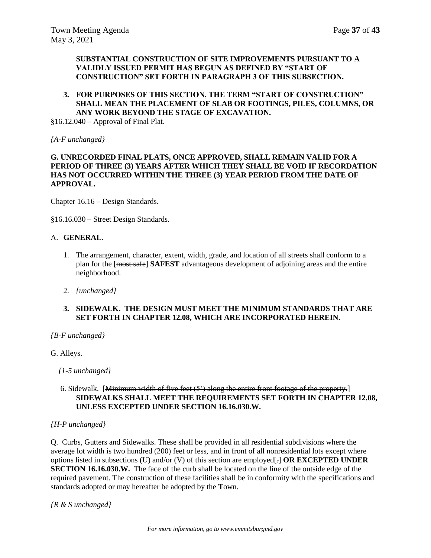### **SUBSTANTIAL CONSTRUCTION OF SITE IMPROVEMENTS PURSUANT TO A VALIDLY ISSUED PERMIT HAS BEGUN AS DEFINED BY "START OF CONSTRUCTION" SET FORTH IN PARAGRAPH 3 OF THIS SUBSECTION.**

### **3. FOR PURPOSES OF THIS SECTION, THE TERM "START OF CONSTRUCTION" SHALL MEAN THE PLACEMENT OF SLAB OR FOOTINGS, PILES, COLUMNS, OR ANY WORK BEYOND THE STAGE OF EXCAVATION.**

§16.12.040 – Approval of Final Plat.

*{A-F unchanged}*

### **G. UNRECORDED FINAL PLATS, ONCE APPROVED, SHALL REMAIN VALID FOR A PERIOD OF THREE (3) YEARS AFTER WHICH THEY SHALL BE VOID IF RECORDATION HAS NOT OCCURRED WITHIN THE THREE (3) YEAR PERIOD FROM THE DATE OF APPROVAL.**

Chapter 16.16 – Design Standards.

§16.16.030 – Street Design Standards.

### A. **GENERAL.**

- 1. The arrangement, character, extent, width, grade, and location of all streets shall conform to a plan for the [most safe] **SAFEST** advantageous development of adjoining areas and the entire neighborhood.
- 2. *{unchanged}*
- **3. SIDEWALK. THE DESIGN MUST MEET THE MINIMUM STANDARDS THAT ARE SET FORTH IN CHAPTER 12.08, WHICH ARE INCORPORATED HEREIN.**

### *{B-F unchanged}*

G. Alleys.

 *{1-5 unchanged}*

### 6. Sidewalk. [Minimum width of five feet (5') along the entire front footage of the property.] **SIDEWALKS SHALL MEET THE REQUIREMENTS SET FORTH IN CHAPTER 12.08, UNLESS EXCEPTED UNDER SECTION 16.16.030.W.**

### *{H-P unchanged}*

Q. Curbs, Gutters and Sidewalks. These shall be provided in all residential subdivisions where the average lot width is two hundred (200) feet or less, and in front of all nonresidential lots except where options listed in subsections (U) and/or (V) of this section are employed[.] **OR EXCEPTED UNDER SECTION 16.16.030.W.** The face of the curb shall be located on the line of the outside edge of the required pavement. The construction of these facilities shall be in conformity with the specifications and standards adopted or may hereafter be adopted by the **T**own.

*{R & S unchanged}*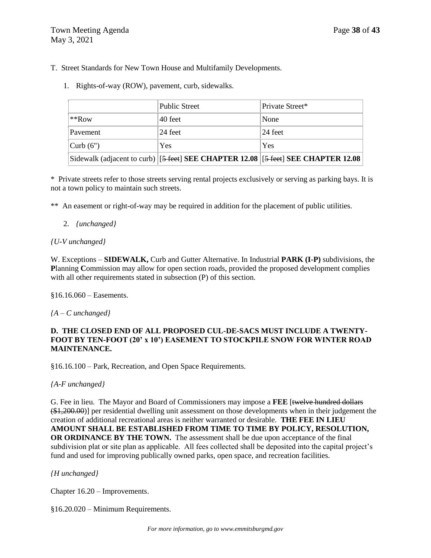- T. Street Standards for New Town House and Multifamily Developments.
	- 1. Rights-of-way (ROW), pavement, curb, sidewalks.

|                      | <b>Public Street</b>                                                              | Private Street*     |
|----------------------|-----------------------------------------------------------------------------------|---------------------|
| $**Row$              | 40 feet                                                                           | None                |
| Pavement             | 24 feet                                                                           | $ 24 \text{ feet} $ |
| $\vert$ Curb $(6'')$ | Yes                                                                               | Yes                 |
|                      | Sidewalk (adjacent to curb) [5 feet] SEE CHAPTER 12.08 [5 feet] SEE CHAPTER 12.08 |                     |

\* Private streets refer to those streets serving rental projects exclusively or serving as parking bays. It is not a town policy to maintain such streets.

\*\* An easement or right-of-way may be required in addition for the placement of public utilities.

### 2. *{unchanged}*

## *{U-V unchanged}*

W. Exceptions – **SIDEWALK,** Curb and Gutter Alternative. In Industrial **PARK (I-P)** subdivisions, the **P**lanning **C**ommission may allow for open section roads, provided the proposed development complies with all other requirements stated in subsection (P) of this section.

§16.16.060 – Easements.

*{A – C unchanged}*

# **D. THE CLOSED END OF ALL PROPOSED CUL-DE-SACS MUST INCLUDE A TWENTY-FOOT BY TEN-FOOT (20' x 10') EASEMENT TO STOCKPILE SNOW FOR WINTER ROAD MAINTENANCE.**

§16.16.100 – Park, Recreation, and Open Space Requirements.

### *{A-F unchanged}*

G. Fee in lieu. The Mayor and Board of Commissioners may impose a **FEE** [twelve hundred dollars (\$1,200.00)] per residential dwelling unit assessment on those developments when in their judgement the creation of additional recreational areas is neither warranted or desirable. **THE FEE IN LIEU AMOUNT SHALL BE ESTABLISHED FROM TIME TO TIME BY POLICY, RESOLUTION, OR ORDINANCE BY THE TOWN.** The assessment shall be due upon acceptance of the final subdivision plat or site plan as applicable. All fees collected shall be deposited into the capital project's fund and used for improving publically owned parks, open space, and recreation facilities.

# *{H unchanged}*

Chapter 16.20 – Improvements.

§16.20.020 – Minimum Requirements.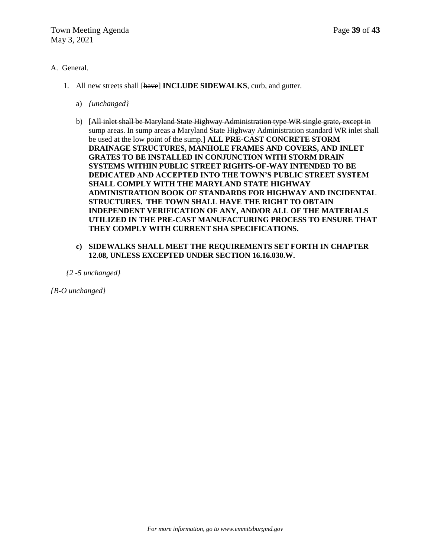## A. General.

- 1. All new streets shall [have] **INCLUDE SIDEWALKS**, curb, and gutter.
	- a) *{unchanged}*
	- b) [All inlet shall be Maryland State Highway Administration type WR single grate, except in sump areas. In sump areas a Maryland State Highway Administration standard WR inlet shall be used at the low point of the sump.] **ALL PRE-CAST CONCRETE STORM DRAINAGE STRUCTURES, MANHOLE FRAMES AND COVERS, AND INLET GRATES TO BE INSTALLED IN CONJUNCTION WITH STORM DRAIN SYSTEMS WITHIN PUBLIC STREET RIGHTS-OF-WAY INTENDED TO BE DEDICATED AND ACCEPTED INTO THE TOWN'S PUBLIC STREET SYSTEM SHALL COMPLY WITH THE MARYLAND STATE HIGHWAY ADMINISTRATION BOOK OF STANDARDS FOR HIGHWAY AND INCIDENTAL STRUCTURES. THE TOWN SHALL HAVE THE RIGHT TO OBTAIN INDEPENDENT VERIFICATION OF ANY, AND/OR ALL OF THE MATERIALS UTILIZED IN THE PRE-CAST MANUFACTURING PROCESS TO ENSURE THAT THEY COMPLY WITH CURRENT SHA SPECIFICATIONS.**

### **c) SIDEWALKS SHALL MEET THE REQUIREMENTS SET FORTH IN CHAPTER 12.08, UNLESS EXCEPTED UNDER SECTION 16.16.030.W.**

*{2 -5 unchanged}*

*{B-O unchanged}*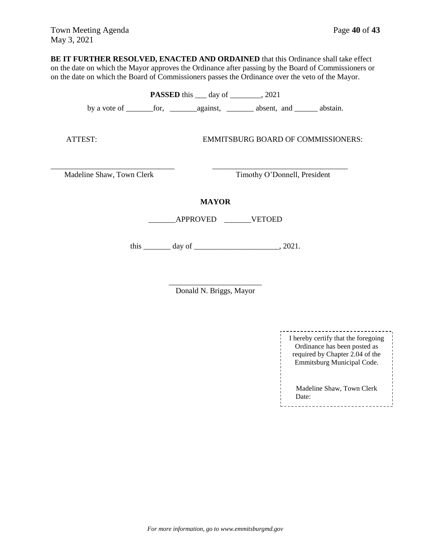**BE IT FURTHER RESOLVED, ENACTED AND ORDAINED** that this Ordinance shall take effect on the date on which the Mayor approves the Ordinance after passing by the Board of Commissioners or on the date on which the Board of Commissioners passes the Ordinance over the veto of the Mayor.

| <b>PASSED</b> this <u>equal</u> day of <u>equal</u> , 2021 |  |  |                                    |  |  |  |
|------------------------------------------------------------|--|--|------------------------------------|--|--|--|
|                                                            |  |  |                                    |  |  |  |
| ATTEST:                                                    |  |  | EMMITSBURG BOARD OF COMMISSIONERS: |  |  |  |
| Timothy O'Donnell, President<br>Madeline Shaw, Town Clerk  |  |  |                                    |  |  |  |
| <b>MAYOR</b><br>APPROVED VETOED                            |  |  |                                    |  |  |  |
| this $\_\_\_\_$ day of $\_\_\_\_\_\_\_$ , 2021.            |  |  |                                    |  |  |  |

\_\_\_\_\_\_\_\_\_\_\_\_\_\_\_\_\_\_\_\_\_\_\_\_ Donald N. Briggs, Mayor

| I hereby certify that the foregoing<br>Ordinance has been posted as<br>required by Chapter 2.04 of the<br>Emmitsburg Municipal Code. |  |
|--------------------------------------------------------------------------------------------------------------------------------------|--|
| Madeline Shaw, Town Clerk<br>Date:                                                                                                   |  |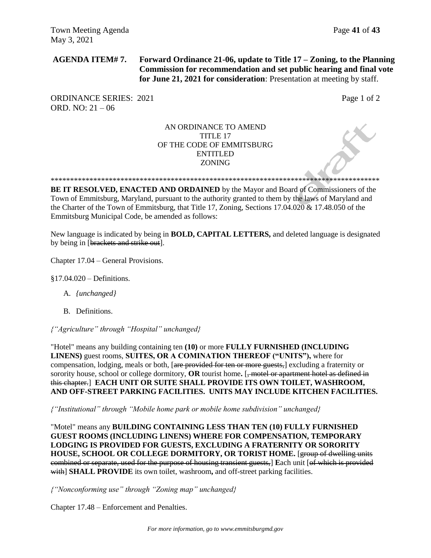**AGENDA ITEM# 7. Forward Ordinance 21-06, update to Title 17 – Zoning, to the Planning Commission for recommendation and set public hearing and final vote for June 21, 2021 for consideration**: Presentation at meeting by staff.

ORDINANCE SERIES: 2021 Page 1 of 2 ORD. NO: 21 – 06

# AN ORDINANCE TO AMEND TITLE 17 OF THE CODE OF EMMITSBURG ENTITLED ZONING

\*\*\*\*\*\*\*\*\*\*\*\*\*\*\*\*\*\*\*\*\*\*\*\*\*\*\*\*\*\*\*\*\*\*\*\*\*\*\*\*\*\*\*\*\*\*\*\*\*\*\*\*\*\*\*\*\*\*\*\*\*\*\*\*\*\*\*\*\*\*\*\*\*\*\*\*\*\*\*\*\*\*\*\*\*

**BE IT RESOLVED, ENACTED AND ORDAINED** by the Mayor and Board of Commissioners of the Town of Emmitsburg, Maryland, pursuant to the authority granted to them by the laws of Maryland and the Charter of the Town of Emmitsburg, that Title 17, Zoning, Sections 17.04.020 & 17.48.050 of the Emmitsburg Municipal Code, be amended as follows:

New language is indicated by being in **BOLD, CAPITAL LETTERS,** and deleted language is designated by being in [brackets and strike out].

Chapter 17.04 – General Provisions.

§17.04.020 – Definitions.

- A. *{unchanged}*
- B. Definitions.

*{"Agriculture" through "Hospital" unchanged}*

"Hotel" means any building containing ten **(10)** or more **FULLY FURNISHED (INCLUDING LINENS)** guest rooms, **SUITES, OR A COMINATION THEREOF ("UNITS"),** where for compensation, lodging, meals or both, [are provided for ten or more guests,] excluding a fraternity or sorority house, school or college dormitory, **OR** tourist home. [<del>, motel or apartment hotel as defined in</del> this chapter.] **EACH UNIT OR SUITE SHALL PROVIDE ITS OWN TOILET, WASHROOM, AND OFF-STREET PARKING FACILITIES. UNITS MAY INCLUDE KITCHEN FACILITIES.**

*{"Institutional" through "Mobile home park or mobile home subdivision" unchanged}*

"Motel" means any **BUILDING CONTAINING LESS THAN TEN (10) FULLY FURNISHED GUEST ROOMS (INCLUDING LINENS) WHERE FOR COMPENSATION, TEMPORARY LODGING IS PROVIDED FOR GUESTS, EXCLUDING A FRATERNITY OR SORORITY HOUSE, SCHOOL OR COLLEGE DORMITORY, OR TORIST HOME.** [group of dwelling units combined or separate, used for the purpose of housing transient guests,] **E**ach unit [of which is provided with] **SHALL PROVIDE** its own toilet, washroom**,** and off-street parking facilities.

*{"Nonconforming use" through "Zoning map" unchanged}*

Chapter 17.48 – Enforcement and Penalties.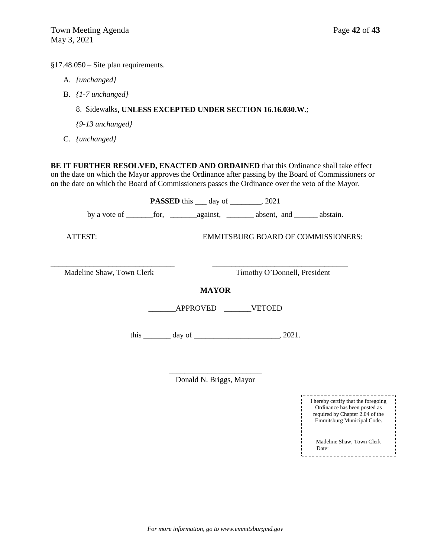§17.48.050 – Site plan requirements.

- A. *{unchanged}*
- B. *{1-7 unchanged}*

# 8. Sidewalks**, UNLESS EXCEPTED UNDER SECTION 16.16.030.W.**;

*{9-13 unchanged}*

C. *{unchanged}*

**BE IT FURTHER RESOLVED, ENACTED AND ORDAINED** that this Ordinance shall take effect on the date on which the Mayor approves the Ordinance after passing by the Board of Commissioners or on the date on which the Board of Commissioners passes the Ordinance over the veto of the Mayor.

|                           | <b>PASSED</b> this ____ day of ________, 2021   |                                           |  |  |
|---------------------------|-------------------------------------------------|-------------------------------------------|--|--|
|                           |                                                 |                                           |  |  |
| ATTEST:                   |                                                 | <b>EMMITSBURG BOARD OF COMMISSIONERS:</b> |  |  |
| Madeline Shaw, Town Clerk |                                                 | Timothy O'Donnell, President              |  |  |
| <b>MAYOR</b>              |                                                 |                                           |  |  |
|                           | APPROVED VETOED                                 |                                           |  |  |
|                           | this $\_\_\_\_$ day of $\_\_\_\_\_\_\_$ , 2021. |                                           |  |  |
|                           |                                                 |                                           |  |  |

Donald N. Briggs, Mayor

| I hereby certify that the foregoing<br>Ordinance has been posted as<br>required by Chapter 2.04 of the<br>Emmitsburg Municipal Code. |  |
|--------------------------------------------------------------------------------------------------------------------------------------|--|
| Madeline Shaw, Town Clerk<br>Date:                                                                                                   |  |